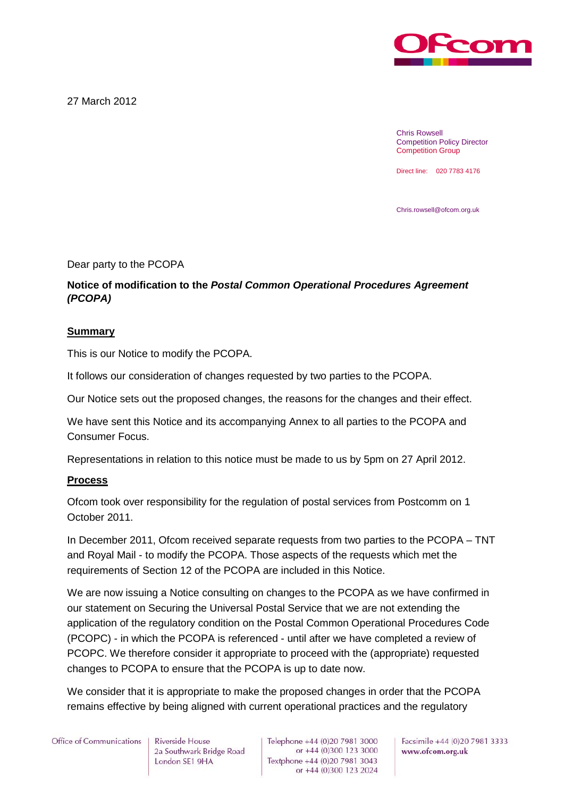

27 March 2012

Chris Rowsell Competition Policy Director Competition Group

Direct line: 020 7783 4176

Chris.rowsell@ofcom.org.uk

Dear party to the PCOPA

# **Notice of modification to the** *Postal Common Operational Procedures Agreement (PCOPA)*

# **Summary**

This is our Notice to modify the PCOPA.

It follows our consideration of changes requested by two parties to the PCOPA.

Our Notice sets out the proposed changes, the reasons for the changes and their effect.

We have sent this Notice and its accompanying Annex to all parties to the PCOPA and Consumer Focus.

Representations in relation to this notice must be made to us by 5pm on 27 April 2012.

# **Process**

Ofcom took over responsibility for the regulation of postal services from Postcomm on 1 October 2011.

In December 2011, Ofcom received separate requests from two parties to the PCOPA – TNT and Royal Mail - to modify the PCOPA. Those aspects of the requests which met the requirements of Section 12 of the PCOPA are included in this Notice.

We are now issuing a Notice consulting on changes to the PCOPA as we have confirmed in our statement on Securing the Universal Postal Service that we are not extending the application of the regulatory condition on the Postal Common Operational Procedures Code (PCOPC) - in which the PCOPA is referenced - until after we have completed a review of PCOPC. We therefore consider it appropriate to proceed with the (appropriate) requested changes to PCOPA to ensure that the PCOPA is up to date now.

We consider that it is appropriate to make the proposed changes in order that the PCOPA remains effective by being aligned with current operational practices and the regulatory

# Office of Communications

Riverside House 2a Southwark Bridge Road London SE1 9HA

Telephone +44 (0)20 7981 3000 or +44 (0)300 123 3000 Textphone +44 (0)20 7981 3043 or +44 (0)300 123 2024

Facsimile +44 (0)20 7981 3333 www.ofcom.org.uk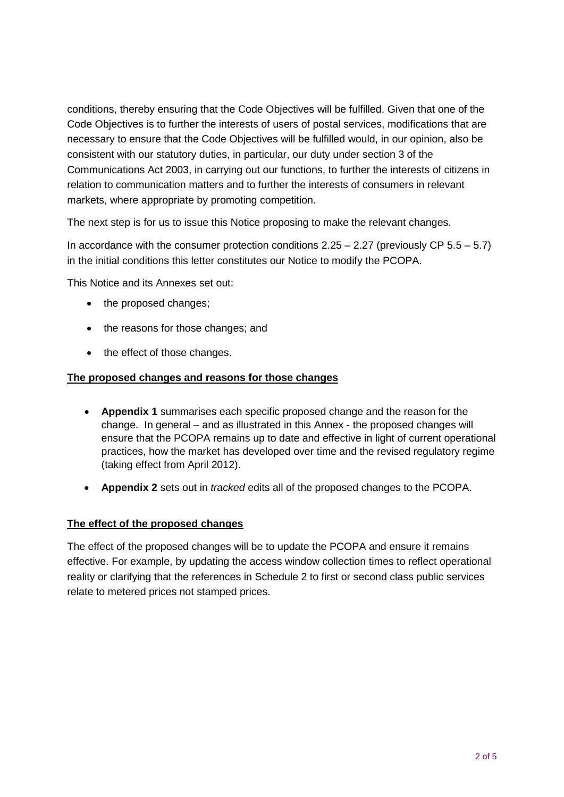conditions, thereby ensuring that the Code Objectives will be fulfilled. Given that one of the Code Objectives is to further the interests of users of postal services, modifications that are necessary to ensure that the Code Objectives will be fulfilled would, in our opinion, also be consistent with our statutory duties, in particular, our duty under section 3 of the Communications Act 2003, in carrying out our functions, to further the interests of citizens in relation to communication matters and to further the interests of consumers in relevant markets, where appropriate by promoting competition.

The next step is for us to issue this Notice proposing to make the relevant changes.

In accordance with the consumer protection conditions  $2.25 - 2.27$  (previously CP  $5.5 - 5.7$ ) in the initial conditions this letter constitutes our Notice to modify the PCOPA.

This Notice and its Annexes set out:

- the proposed changes;
- the reasons for those changes; and
- the effect of those changes.

# **The proposed changes and reasons for those changes**

- **Appendix 1** summarises each specific proposed change and the reason for the change. In general – and as illustrated in this Annex - the proposed changes will ensure that the PCOPA remains up to date and effective in light of current operational practices, how the market has developed over time and the revised regulatory regime (taking effect from April 2012).
- **Appendix 2** sets out in *tracked* edits all of the proposed changes to the PCOPA.

# **The effect of the proposed changes**

The effect of the proposed changes will be to update the PCOPA and ensure it remains effective. For example, by updating the access window collection times to reflect operational reality or clarifying that the references in Schedule 2 to first or second class public services relate to metered prices not stamped prices.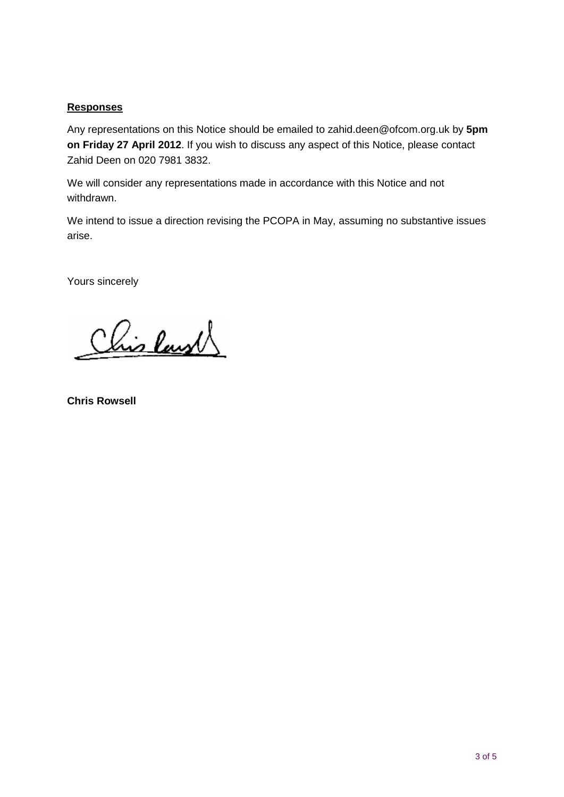# **Responses**

Any representations on this Notice should be emailed to [zahid.deen@ofcom.org.uk](mailto:zahid.deen@ofcom.org.uk) by **5pm on Friday 27 April 2012**. If you wish to discuss any aspect of this Notice, please contact Zahid Deen on 020 7981 3832.

We will consider any representations made in accordance with this Notice and not withdrawn.

We intend to issue a direction revising the PCOPA in May, assuming no substantive issues arise.

Yours sincerely

Chis Ray

**Chris Rowsell**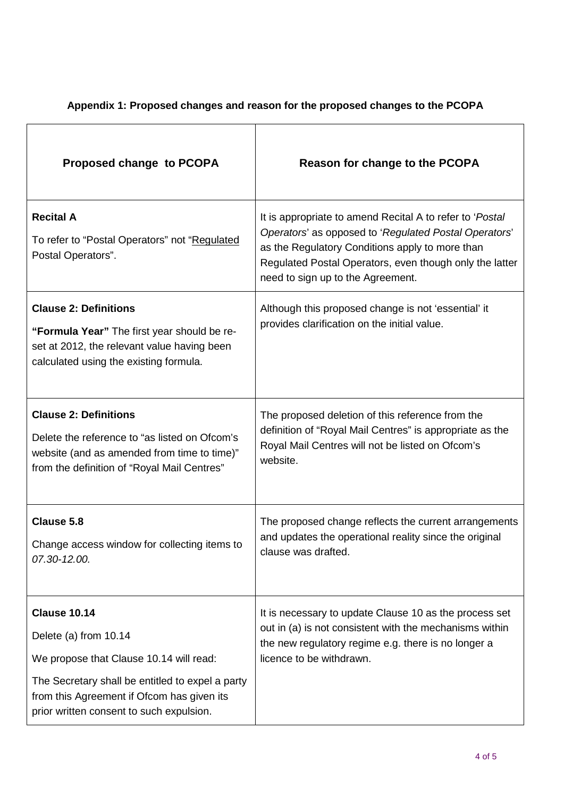| Proposed change to PCOPA                                                                                                                                                                                                              | Reason for change to the PCOPA                                                                                                                                                                                                                                       |
|---------------------------------------------------------------------------------------------------------------------------------------------------------------------------------------------------------------------------------------|----------------------------------------------------------------------------------------------------------------------------------------------------------------------------------------------------------------------------------------------------------------------|
| <b>Recital A</b><br>To refer to "Postal Operators" not "Regulated<br>Postal Operators".                                                                                                                                               | It is appropriate to amend Recital A to refer to 'Postal<br>Operators' as opposed to 'Regulated Postal Operators'<br>as the Regulatory Conditions apply to more than<br>Regulated Postal Operators, even though only the latter<br>need to sign up to the Agreement. |
| <b>Clause 2: Definitions</b><br>"Formula Year" The first year should be re-<br>set at 2012, the relevant value having been<br>calculated using the existing formula.                                                                  | Although this proposed change is not 'essential' it<br>provides clarification on the initial value.                                                                                                                                                                  |
| <b>Clause 2: Definitions</b><br>Delete the reference to "as listed on Ofcom's<br>website (and as amended from time to time)"<br>from the definition of "Royal Mail Centres"                                                           | The proposed deletion of this reference from the<br>definition of "Royal Mail Centres" is appropriate as the<br>Royal Mail Centres will not be listed on Ofcom's<br>website.                                                                                         |
| Clause 5.8<br>Change access window for collecting items to<br>07.30-12.00.                                                                                                                                                            | The proposed change reflects the current arrangements<br>and updates the operational reality since the original<br>clause was drafted.                                                                                                                               |
| <b>Clause 10.14</b><br>Delete (a) from 10.14<br>We propose that Clause 10.14 will read:<br>The Secretary shall be entitled to expel a party<br>from this Agreement if Ofcom has given its<br>prior written consent to such expulsion. | It is necessary to update Clause 10 as the process set<br>out in (a) is not consistent with the mechanisms within<br>the new regulatory regime e.g. there is no longer a<br>licence to be withdrawn.                                                                 |

# **Appendix 1: Proposed changes and reason for the proposed changes to the PCOPA**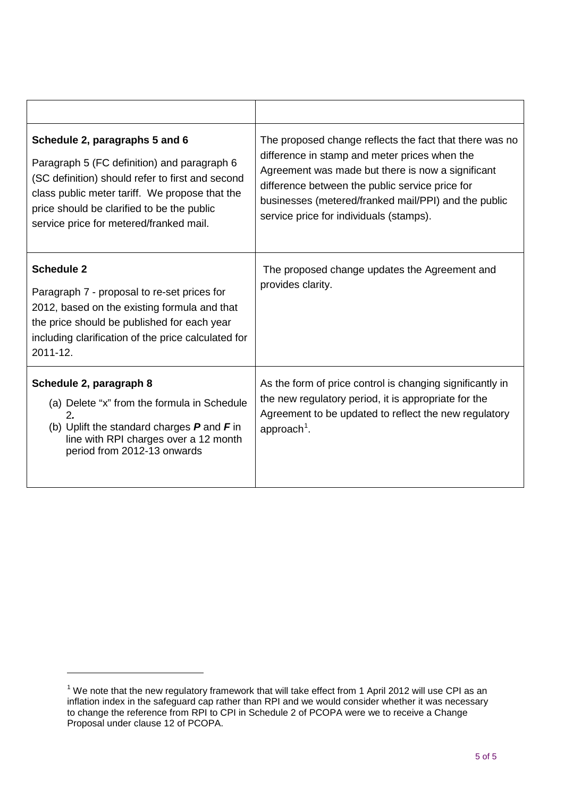| Schedule 2, paragraphs 5 and 6<br>Paragraph 5 (FC definition) and paragraph 6<br>(SC definition) should refer to first and second<br>class public meter tariff. We propose that the<br>price should be clarified to be the public<br>service price for metered/franked mail. | The proposed change reflects the fact that there was no<br>difference in stamp and meter prices when the<br>Agreement was made but there is now a significant<br>difference between the public service price for<br>businesses (metered/franked mail/PPI) and the public<br>service price for individuals (stamps). |
|------------------------------------------------------------------------------------------------------------------------------------------------------------------------------------------------------------------------------------------------------------------------------|---------------------------------------------------------------------------------------------------------------------------------------------------------------------------------------------------------------------------------------------------------------------------------------------------------------------|
| <b>Schedule 2</b><br>Paragraph 7 - proposal to re-set prices for<br>2012, based on the existing formula and that<br>the price should be published for each year<br>including clarification of the price calculated for<br>2011-12.                                           | The proposed change updates the Agreement and<br>provides clarity.                                                                                                                                                                                                                                                  |
| Schedule 2, paragraph 8<br>(a) Delete "x" from the formula in Schedule<br>2.<br>(b) Uplift the standard charges $P$ and $F$ in<br>line with RPI charges over a 12 month<br>period from 2012-13 onwards                                                                       | As the form of price control is changing significantly in<br>the new regulatory period, it is appropriate for the<br>Agreement to be updated to reflect the new regulatory<br>approach <sup>1</sup> .                                                                                                               |

-

<span id="page-4-0"></span> $1$  We note that the new regulatory framework that will take effect from 1 April 2012 will use CPI as an inflation index in the safeguard cap rather than RPI and we would consider whether it was necessary to change the reference from RPI to CPI in Schedule 2 of PCOPA were we to receive a Change Proposal under clause 12 of PCOPA.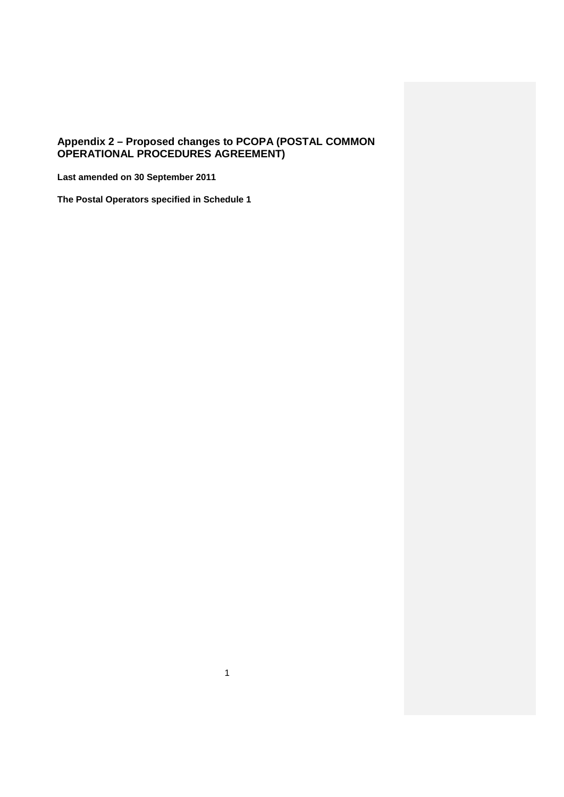# **Appendix 2 – Proposed changes to PCOPA (POSTAL COMMON OPERATIONAL PROCEDURES AGREEMENT)**

**Last amended on 30 September 2011**

**The Postal Operators specified in Schedule 1**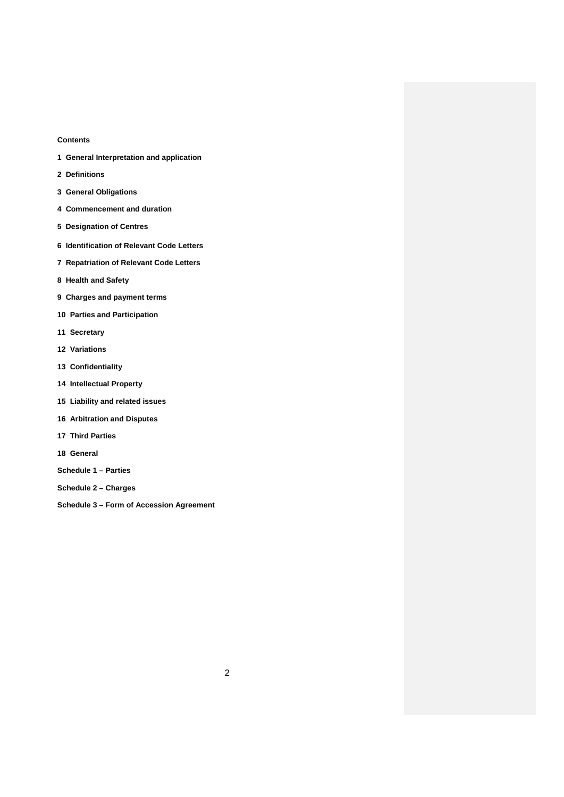# **Contents**

- **1 General Interpretation and application**
- **2 Definitions**
- **3 General Obligations**
- **4 Commencement and duration**
- **5 Designation of Centres**
- **6 Identification of Relevant Code Letters**
- **7 Repatriation of Relevant Code Letters**
- **8 Health and Safety**
- **9 Charges and payment terms**
- **10 Parties and Participation**
- **11 Secretary**
- **12 Variations**
- **13 Confidentiality**
- **14 Intellectual Property**
- **15 Liability and related issues**
- **16 Arbitration and Disputes**
- **17 Third Parties**
- **18 General**
- **Schedule 1 – Parties**
- **Schedule 2 – Charges**
- **Schedule 3 – Form of Accession Agreement**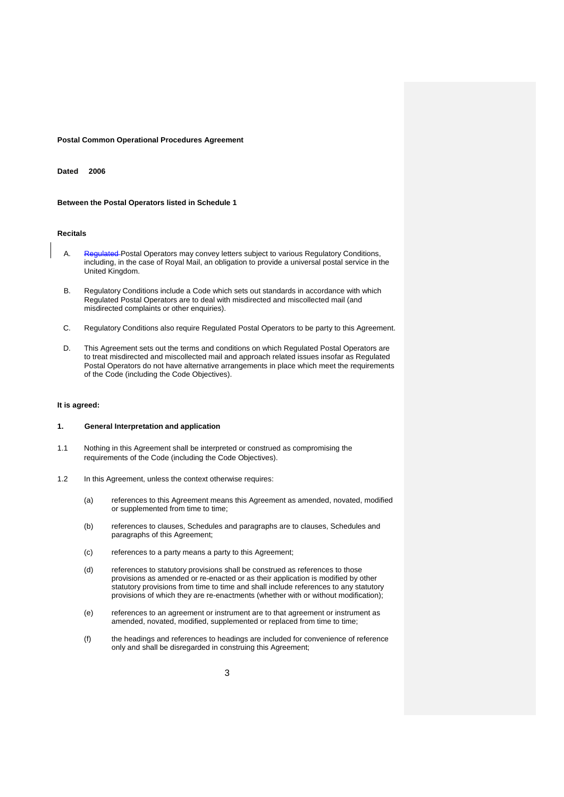#### **Postal Common Operational Procedures Agreement**

### **Dated 2006**

#### **Between the Postal Operators listed in Schedule 1**

#### **Recitals**

- A. Regulated Postal Operators may convey letters subject to various Regulatory Conditions, including, in the case of Royal Mail, an obligation to provide a universal postal service in the United Kingdom.
- B. Regulatory Conditions include a Code which sets out standards in accordance with which Regulated Postal Operators are to deal with misdirected and miscollected mail (and misdirected complaints or other enquiries).
- C. Regulatory Conditions also require Regulated Postal Operators to be party to this Agreement.
- D. This Agreement sets out the terms and conditions on which Regulated Postal Operators are to treat misdirected and miscollected mail and approach related issues insofar as Regulated Postal Operators do not have alternative arrangements in place which meet the requirements of the Code (including the Code Objectives).

#### **It is agreed:**

#### **1. General Interpretation and application**

- 1.1 Nothing in this Agreement shall be interpreted or construed as compromising the requirements of the Code (including the Code Objectives).
- 1.2 In this Agreement, unless the context otherwise requires:
	- (a) references to this Agreement means this Agreement as amended, novated, modified or supplemented from time to time;
	- (b) references to clauses, Schedules and paragraphs are to clauses, Schedules and paragraphs of this Agreement;
	- (c) references to a party means a party to this Agreement;
	- (d) references to statutory provisions shall be construed as references to those provisions as amended or re-enacted or as their application is modified by other statutory provisions from time to time and shall include references to any statutory provisions of which they are re-enactments (whether with or without modification);
	- (e) references to an agreement or instrument are to that agreement or instrument as amended, novated, modified, supplemented or replaced from time to time;
	- (f) the headings and references to headings are included for convenience of reference only and shall be disregarded in construing this Agreement;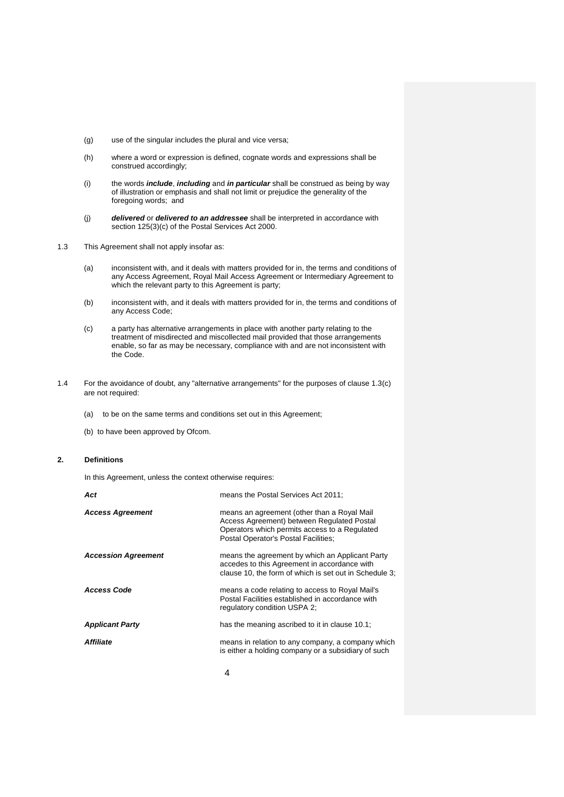- (g) use of the singular includes the plural and vice versa;
- (h) where a word or expression is defined, cognate words and expressions shall be construed accordingly;
- (i) the words *include*, *including* and *in particular* shall be construed as being by way of illustration or emphasis and shall not limit or prejudice the generality of the foregoing words; and
- (j) *delivered* or *delivered to an addressee* shall be interpreted in accordance with section 125(3)(c) of the Postal Services Act 2000.
- 1.3 This Agreement shall not apply insofar as:
	- (a) inconsistent with, and it deals with matters provided for in, the terms and conditions of any Access Agreement, Royal Mail Access Agreement or Intermediary Agreement to which the relevant party to this Agreement is party;
	- (b) inconsistent with, and it deals with matters provided for in, the terms and conditions of any Access Code;
	- (c) a party has alternative arrangements in place with another party relating to the treatment of misdirected and miscollected mail provided that those arrangements enable, so far as may be necessary, compliance with and are not inconsistent with the Code.
- 1.4 For the avoidance of doubt, any "alternative arrangements" for the purposes of clause 1.3(c) are not required:
	- (a) to be on the same terms and conditions set out in this Agreement;
	- (b) to have been approved by Ofcom.

# **2. Definitions**

In this Agreement, unless the context otherwise requires:

| means the Postal Services Act 2011;                                                                                                                                                |
|------------------------------------------------------------------------------------------------------------------------------------------------------------------------------------|
| means an agreement (other than a Royal Mail<br>Access Agreement) between Regulated Postal<br>Operators which permits access to a Regulated<br>Postal Operator's Postal Facilities; |
| means the agreement by which an Applicant Party<br>accedes to this Agreement in accordance with<br>clause 10, the form of which is set out in Schedule 3;                          |
| means a code relating to access to Royal Mail's<br>Postal Facilities established in accordance with<br>regulatory condition USPA 2:                                                |
| has the meaning ascribed to it in clause 10.1;                                                                                                                                     |
| means in relation to any company, a company which<br>is either a holding company or a subsidiary of such                                                                           |
|                                                                                                                                                                                    |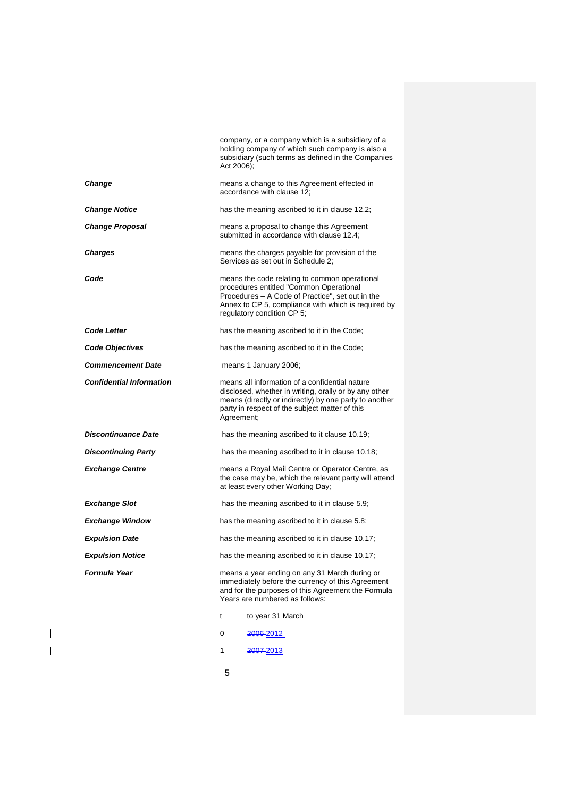|                                 | Act 2006); | company, or a company which is a subsidiary of a<br>holding company of which such company is also a<br>subsidiary (such terms as defined in the Companies                                                                         |
|---------------------------------|------------|-----------------------------------------------------------------------------------------------------------------------------------------------------------------------------------------------------------------------------------|
| <b>Change</b>                   |            | means a change to this Agreement effected in<br>accordance with clause 12:                                                                                                                                                        |
| <b>Change Notice</b>            |            | has the meaning ascribed to it in clause 12.2;                                                                                                                                                                                    |
| <b>Change Proposal</b>          |            | means a proposal to change this Agreement<br>submitted in accordance with clause 12.4;                                                                                                                                            |
| Charges                         |            | means the charges payable for provision of the<br>Services as set out in Schedule 2;                                                                                                                                              |
| Code                            |            | means the code relating to common operational<br>procedures entitled "Common Operational<br>Procedures - A Code of Practice", set out in the<br>Annex to CP 5, compliance with which is required by<br>regulatory condition CP 5; |
| <b>Code Letter</b>              |            | has the meaning ascribed to it in the Code;                                                                                                                                                                                       |
| Code Objectives                 |            | has the meaning ascribed to it in the Code;                                                                                                                                                                                       |
| <b>Commencement Date</b>        |            | means 1 January 2006;                                                                                                                                                                                                             |
| <b>Confidential Information</b> | Agreement; | means all information of a confidential nature<br>disclosed, whether in writing, orally or by any other<br>means (directly or indirectly) by one party to another<br>party in respect of the subject matter of this               |
| <b>Discontinuance Date</b>      |            | has the meaning ascribed to it clause 10.19;                                                                                                                                                                                      |
| <b>Discontinuing Party</b>      |            | has the meaning ascribed to it in clause 10.18;                                                                                                                                                                                   |
| <b>Exchange Centre</b>          |            | means a Royal Mail Centre or Operator Centre, as<br>the case may be, which the relevant party will attend<br>at least every other Working Day;                                                                                    |
| <b>Exchange Slot</b>            |            | has the meaning ascribed to it in clause 5.9;                                                                                                                                                                                     |
| <b>Exchange Window</b>          |            | has the meaning ascribed to it in clause 5.8;                                                                                                                                                                                     |
| <b>Expulsion Date</b>           |            | has the meaning ascribed to it in clause 10.17;                                                                                                                                                                                   |
| <b>Expulsion Notice</b>         |            | has the meaning ascribed to it in clause 10.17;                                                                                                                                                                                   |
| Formula Year                    |            | means a year ending on any 31 March during or<br>immediately before the currency of this Agreement<br>and for the purposes of this Agreement the Formula<br>Years are numbered as follows:                                        |
|                                 | t          | to year 31 March                                                                                                                                                                                                                  |
|                                 | 0          | <del>2006-</del> 2012                                                                                                                                                                                                             |
|                                 | 1          | 2007-2013                                                                                                                                                                                                                         |

5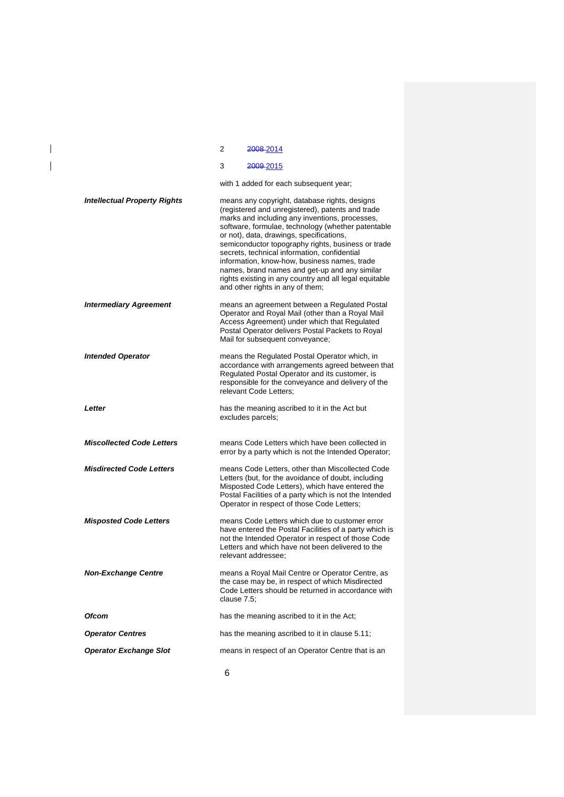|                                     | 2<br>2008-2014                                                                                                                                                                                                                                                                                                                                                                                                                                                                                                                                             |
|-------------------------------------|------------------------------------------------------------------------------------------------------------------------------------------------------------------------------------------------------------------------------------------------------------------------------------------------------------------------------------------------------------------------------------------------------------------------------------------------------------------------------------------------------------------------------------------------------------|
|                                     | 3<br><del>2009-</del> 2015                                                                                                                                                                                                                                                                                                                                                                                                                                                                                                                                 |
|                                     | with 1 added for each subsequent year;                                                                                                                                                                                                                                                                                                                                                                                                                                                                                                                     |
| <b>Intellectual Property Rights</b> | means any copyright, database rights, designs<br>(registered and unregistered), patents and trade<br>marks and including any inventions, processes,<br>software, formulae, technology (whether patentable<br>or not), data, drawings, specifications,<br>semiconductor topography rights, business or trade<br>secrets, technical information, confidential<br>information, know-how, business names, trade<br>names, brand names and get-up and any similar<br>rights existing in any country and all legal equitable<br>and other rights in any of them; |
| <b>Intermediary Agreement</b>       | means an agreement between a Regulated Postal<br>Operator and Royal Mail (other than a Royal Mail<br>Access Agreement) under which that Regulated<br>Postal Operator delivers Postal Packets to Royal<br>Mail for subsequent conveyance;                                                                                                                                                                                                                                                                                                                   |
| <b>Intended Operator</b>            | means the Regulated Postal Operator which, in<br>accordance with arrangements agreed between that<br>Regulated Postal Operator and its customer, is<br>responsible for the conveyance and delivery of the<br>relevant Code Letters;                                                                                                                                                                                                                                                                                                                        |
| Letter                              | has the meaning ascribed to it in the Act but<br>excludes parcels;                                                                                                                                                                                                                                                                                                                                                                                                                                                                                         |
| <b>Miscollected Code Letters</b>    | means Code Letters which have been collected in<br>error by a party which is not the Intended Operator;                                                                                                                                                                                                                                                                                                                                                                                                                                                    |
| <b>Misdirected Code Letters</b>     | means Code Letters, other than Miscollected Code<br>Letters (but, for the avoidance of doubt, including<br>Misposted Code Letters), which have entered the<br>Postal Facilities of a party which is not the Intended<br>Operator in respect of those Code Letters;                                                                                                                                                                                                                                                                                         |
| <b>Misposted Code Letters</b>       | means Code Letters which due to customer error<br>have entered the Postal Facilities of a party which is<br>not the Intended Operator in respect of those Code<br>Letters and which have not been delivered to the<br>relevant addressee:                                                                                                                                                                                                                                                                                                                  |
| <b>Non-Exchange Centre</b>          | means a Royal Mail Centre or Operator Centre, as<br>the case may be, in respect of which Misdirected<br>Code Letters should be returned in accordance with<br>clause 7.5:                                                                                                                                                                                                                                                                                                                                                                                  |
| Ofcom                               | has the meaning ascribed to it in the Act;                                                                                                                                                                                                                                                                                                                                                                                                                                                                                                                 |
| <b>Operator Centres</b>             | has the meaning ascribed to it in clause 5.11;                                                                                                                                                                                                                                                                                                                                                                                                                                                                                                             |
| <b>Operator Exchange Slot</b>       | means in respect of an Operator Centre that is an                                                                                                                                                                                                                                                                                                                                                                                                                                                                                                          |
|                                     |                                                                                                                                                                                                                                                                                                                                                                                                                                                                                                                                                            |

 $\begin{array}{c} \hline \end{array}$  $\overline{1}$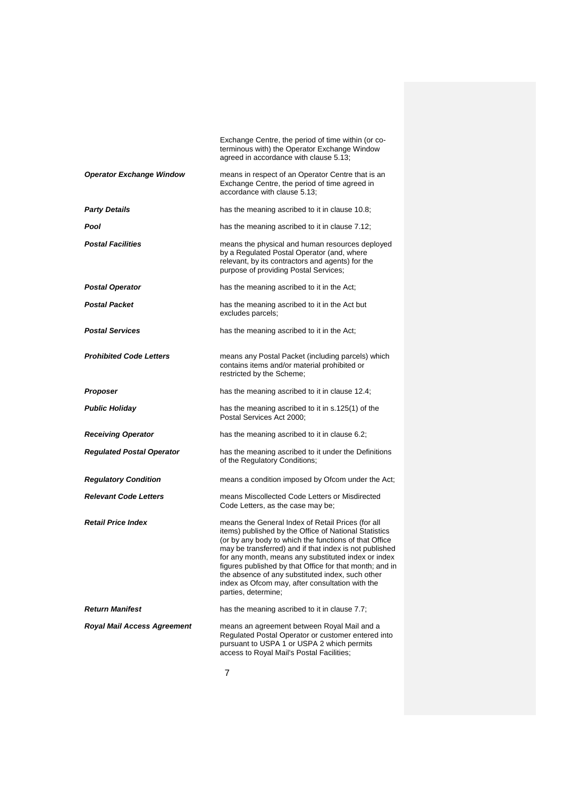|                                    | Exchange Centre, the period of time within (or co-<br>terminous with) the Operator Exchange Window<br>agreed in accordance with clause 5.13;                                                                                                                                                                                                                                                                                                                                  |
|------------------------------------|-------------------------------------------------------------------------------------------------------------------------------------------------------------------------------------------------------------------------------------------------------------------------------------------------------------------------------------------------------------------------------------------------------------------------------------------------------------------------------|
| <b>Operator Exchange Window</b>    | means in respect of an Operator Centre that is an<br>Exchange Centre, the period of time agreed in<br>accordance with clause 5.13:                                                                                                                                                                                                                                                                                                                                            |
| <b>Party Details</b>               | has the meaning ascribed to it in clause 10.8;                                                                                                                                                                                                                                                                                                                                                                                                                                |
| Pool                               | has the meaning ascribed to it in clause 7.12;                                                                                                                                                                                                                                                                                                                                                                                                                                |
| <b>Postal Facilities</b>           | means the physical and human resources deployed<br>by a Regulated Postal Operator (and, where<br>relevant, by its contractors and agents) for the<br>purpose of providing Postal Services;                                                                                                                                                                                                                                                                                    |
| <b>Postal Operator</b>             | has the meaning ascribed to it in the Act;                                                                                                                                                                                                                                                                                                                                                                                                                                    |
| <b>Postal Packet</b>               | has the meaning ascribed to it in the Act but<br>excludes parcels;                                                                                                                                                                                                                                                                                                                                                                                                            |
| <b>Postal Services</b>             | has the meaning ascribed to it in the Act;                                                                                                                                                                                                                                                                                                                                                                                                                                    |
| <b>Prohibited Code Letters</b>     | means any Postal Packet (including parcels) which<br>contains items and/or material prohibited or<br>restricted by the Scheme;                                                                                                                                                                                                                                                                                                                                                |
| Proposer                           | has the meaning ascribed to it in clause 12.4;                                                                                                                                                                                                                                                                                                                                                                                                                                |
| Public Holiday                     | has the meaning ascribed to it in s.125(1) of the<br>Postal Services Act 2000;                                                                                                                                                                                                                                                                                                                                                                                                |
| <b>Receiving Operator</b>          | has the meaning ascribed to it in clause 6.2;                                                                                                                                                                                                                                                                                                                                                                                                                                 |
| <b>Regulated Postal Operator</b>   | has the meaning ascribed to it under the Definitions<br>of the Regulatory Conditions;                                                                                                                                                                                                                                                                                                                                                                                         |
| <b>Regulatory Condition</b>        | means a condition imposed by Ofcom under the Act;                                                                                                                                                                                                                                                                                                                                                                                                                             |
| <b>Relevant Code Letters</b>       | means Miscollected Code Letters or Misdirected<br>Code Letters, as the case may be;                                                                                                                                                                                                                                                                                                                                                                                           |
| <b>Retail Price Index</b>          | means the General Index of Retail Prices (for all<br>items) published by the Office of National Statistics<br>(or by any body to which the functions of that Office<br>may be transferred) and if that index is not published<br>for any month, means any substituted index or index<br>figures published by that Office for that month; and in<br>the absence of any substituted index, such other<br>index as Ofcom may, after consultation with the<br>parties, determine; |
| <b>Return Manifest</b>             | has the meaning ascribed to it in clause 7.7;                                                                                                                                                                                                                                                                                                                                                                                                                                 |
| <b>Royal Mail Access Agreement</b> | means an agreement between Royal Mail and a<br>Regulated Postal Operator or customer entered into<br>pursuant to USPA 1 or USPA 2 which permits<br>access to Royal Mail's Postal Facilities;                                                                                                                                                                                                                                                                                  |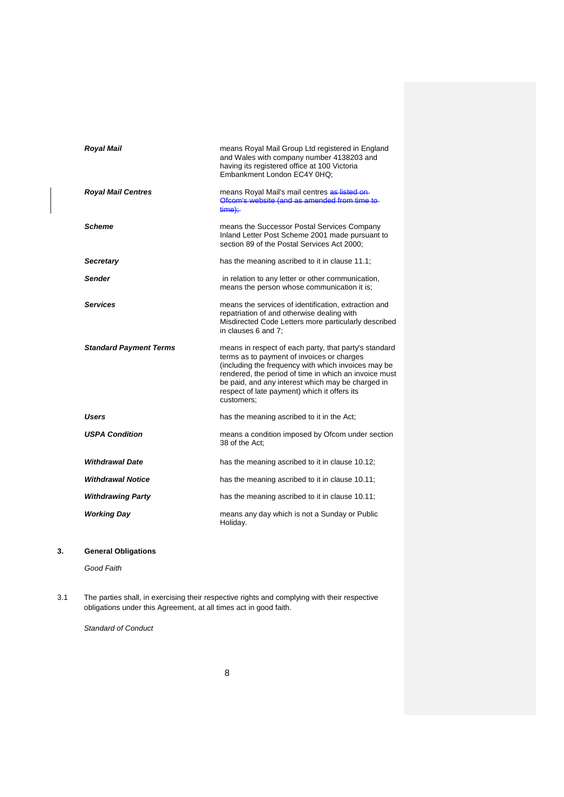| <b>Royal Mail</b>             | means Royal Mail Group Ltd registered in England<br>and Wales with company number 4138203 and<br>having its registered office at 100 Victoria<br>Embankment London EC4Y 0HQ:                                                                                                                                                           |
|-------------------------------|----------------------------------------------------------------------------------------------------------------------------------------------------------------------------------------------------------------------------------------------------------------------------------------------------------------------------------------|
| <b>Royal Mail Centres</b>     | means Royal Mail's mail centres as listed on-<br>Ofcom's website (and as amended from time to-<br>$time$ :                                                                                                                                                                                                                             |
| <b>Scheme</b>                 | means the Successor Postal Services Company<br>Inland Letter Post Scheme 2001 made pursuant to<br>section 89 of the Postal Services Act 2000:                                                                                                                                                                                          |
| <b>Secretary</b>              | has the meaning ascribed to it in clause 11.1;                                                                                                                                                                                                                                                                                         |
| <b>Sender</b>                 | in relation to any letter or other communication,<br>means the person whose communication it is:                                                                                                                                                                                                                                       |
| <b>Services</b>               | means the services of identification, extraction and<br>repatriation of and otherwise dealing with<br>Misdirected Code Letters more particularly described<br>in clauses 6 and 7:                                                                                                                                                      |
| <b>Standard Payment Terms</b> | means in respect of each party, that party's standard<br>terms as to payment of invoices or charges<br>(including the frequency with which invoices may be<br>rendered, the period of time in which an invoice must<br>be paid, and any interest which may be charged in<br>respect of late payment) which it offers its<br>customers: |
| Users                         | has the meaning ascribed to it in the Act;                                                                                                                                                                                                                                                                                             |
| <b>USPA Condition</b>         | means a condition imposed by Ofcom under section<br>38 of the Act:                                                                                                                                                                                                                                                                     |
| <b>Withdrawal Date</b>        | has the meaning ascribed to it in clause 10.12;                                                                                                                                                                                                                                                                                        |
| <b>Withdrawal Notice</b>      | has the meaning ascribed to it in clause 10.11;                                                                                                                                                                                                                                                                                        |
| <b>Withdrawing Party</b>      | has the meaning ascribed to it in clause 10.11;                                                                                                                                                                                                                                                                                        |
| <b>Working Day</b>            | means any day which is not a Sunday or Public<br>Holiday.                                                                                                                                                                                                                                                                              |

# **3. General Obligations**

*Good Faith* 

3.1 The parties shall, in exercising their respective rights and complying with their respective obligations under this Agreement, at all times act in good faith.

*Standard of Conduct*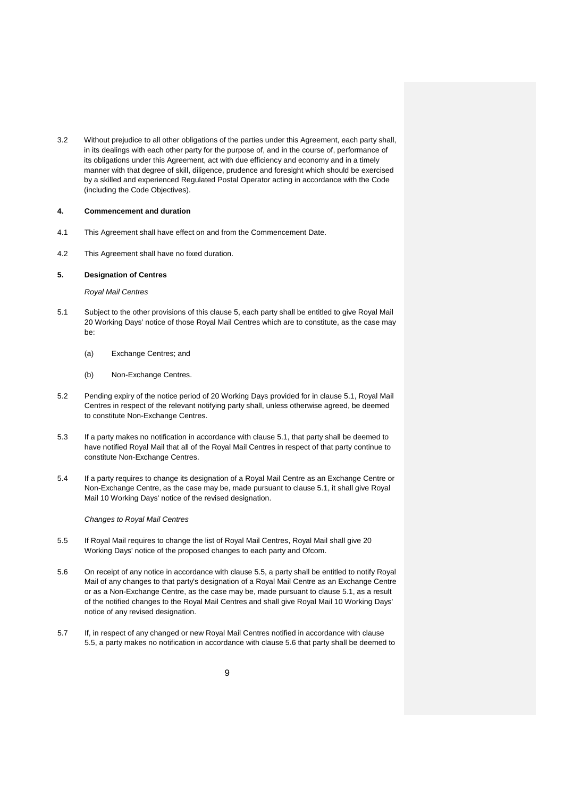3.2 Without prejudice to all other obligations of the parties under this Agreement, each party shall, in its dealings with each other party for the purpose of, and in the course of, performance of its obligations under this Agreement, act with due efficiency and economy and in a timely manner with that degree of skill, diligence, prudence and foresight which should be exercised by a skilled and experienced Regulated Postal Operator acting in accordance with the Code (including the Code Objectives).

#### **4. Commencement and duration**

- 4.1 This Agreement shall have effect on and from the Commencement Date.
- 4.2 This Agreement shall have no fixed duration.

## **5. Designation of Centres**

# *Royal Mail Centres*

- 5.1 Subject to the other provisions of this clause 5, each party shall be entitled to give Royal Mail 20 Working Days' notice of those Royal Mail Centres which are to constitute, as the case may be:
	- (a) Exchange Centres; and
	- (b) Non-Exchange Centres.
- 5.2 Pending expiry of the notice period of 20 Working Days provided for in clause 5.1, Royal Mail Centres in respect of the relevant notifying party shall, unless otherwise agreed, be deemed to constitute Non-Exchange Centres.
- 5.3 If a party makes no notification in accordance with clause 5.1, that party shall be deemed to have notified Royal Mail that all of the Royal Mail Centres in respect of that party continue to constitute Non-Exchange Centres.
- 5.4 If a party requires to change its designation of a Royal Mail Centre as an Exchange Centre or Non-Exchange Centre, as the case may be, made pursuant to clause 5.1, it shall give Royal Mail 10 Working Days' notice of the revised designation.

# *Changes to Royal Mail Centres*

- 5.5 If Royal Mail requires to change the list of Royal Mail Centres, Royal Mail shall give 20 Working Days' notice of the proposed changes to each party and Ofcom.
- 5.6 On receipt of any notice in accordance with clause 5.5, a party shall be entitled to notify Royal Mail of any changes to that party's designation of a Royal Mail Centre as an Exchange Centre or as a Non-Exchange Centre, as the case may be, made pursuant to clause 5.1, as a result of the notified changes to the Royal Mail Centres and shall give Royal Mail 10 Working Days' notice of any revised designation.
- 5.7 If, in respect of any changed or new Royal Mail Centres notified in accordance with clause 5.5, a party makes no notification in accordance with clause 5.6 that party shall be deemed to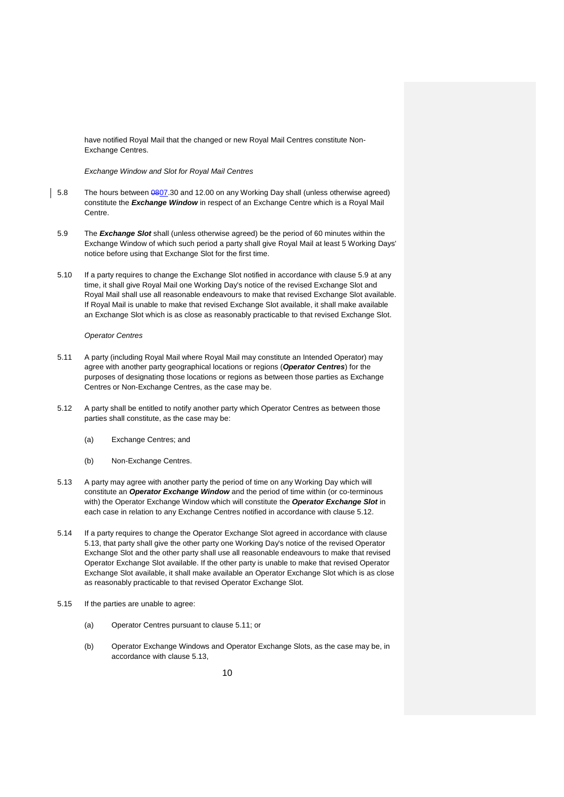have notified Royal Mail that the changed or new Royal Mail Centres constitute Non-Exchange Centres.

#### *Exchange Window and Slot for Royal Mail Centres*

- 5.8 The hours between 0807.30 and 12.00 on any Working Day shall (unless otherwise agreed) constitute the *Exchange Window* in respect of an Exchange Centre which is a Royal Mail Centre.
	- 5.9 The *Exchange Slot* shall (unless otherwise agreed) be the period of 60 minutes within the Exchange Window of which such period a party shall give Royal Mail at least 5 Working Days' notice before using that Exchange Slot for the first time.
	- 5.10 If a party requires to change the Exchange Slot notified in accordance with clause 5.9 at any time, it shall give Royal Mail one Working Day's notice of the revised Exchange Slot and Royal Mail shall use all reasonable endeavours to make that revised Exchange Slot available. If Royal Mail is unable to make that revised Exchange Slot available, it shall make available an Exchange Slot which is as close as reasonably practicable to that revised Exchange Slot.

#### *Operator Centres*

- 5.11 A party (including Royal Mail where Royal Mail may constitute an Intended Operator) may agree with another party geographical locations or regions (*Operator Centres*) for the purposes of designating those locations or regions as between those parties as Exchange Centres or Non-Exchange Centres, as the case may be.
- 5.12 A party shall be entitled to notify another party which Operator Centres as between those parties shall constitute, as the case may be:
	- (a) Exchange Centres; and
	- (b) Non-Exchange Centres.
- 5.13 A party may agree with another party the period of time on any Working Day which will constitute an *Operator Exchange Window* and the period of time within (or co-terminous with) the Operator Exchange Window which will constitute the *Operator Exchange Slot* in each case in relation to any Exchange Centres notified in accordance with clause 5.12.
- 5.14 If a party requires to change the Operator Exchange Slot agreed in accordance with clause 5.13, that party shall give the other party one Working Day's notice of the revised Operator Exchange Slot and the other party shall use all reasonable endeavours to make that revised Operator Exchange Slot available. If the other party is unable to make that revised Operator Exchange Slot available, it shall make available an Operator Exchange Slot which is as close as reasonably practicable to that revised Operator Exchange Slot.
- 5.15 If the parties are unable to agree:
	- (a) Operator Centres pursuant to clause 5.11; or
	- (b) Operator Exchange Windows and Operator Exchange Slots, as the case may be, in accordance with clause 5.13,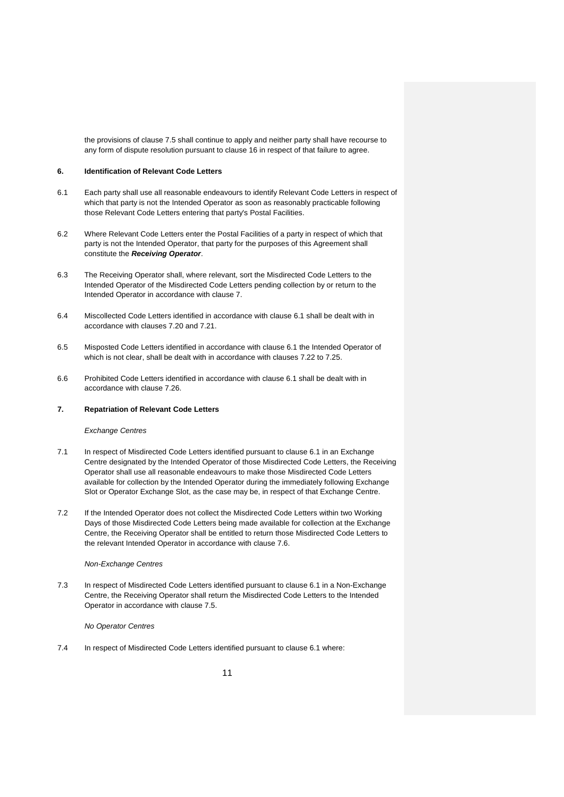the provisions of clause 7.5 shall continue to apply and neither party shall have recourse to any form of dispute resolution pursuant to clause 16 in respect of that failure to agree.

#### **6. Identification of Relevant Code Letters**

- 6.1 Each party shall use all reasonable endeavours to identify Relevant Code Letters in respect of which that party is not the Intended Operator as soon as reasonably practicable following those Relevant Code Letters entering that party's Postal Facilities.
- 6.2 Where Relevant Code Letters enter the Postal Facilities of a party in respect of which that party is not the Intended Operator, that party for the purposes of this Agreement shall constitute the *Receiving Operator*.
- 6.3 The Receiving Operator shall, where relevant, sort the Misdirected Code Letters to the Intended Operator of the Misdirected Code Letters pending collection by or return to the Intended Operator in accordance with clause 7.
- 6.4 Miscollected Code Letters identified in accordance with clause 6.1 shall be dealt with in accordance with clauses 7.20 and 7.21.
- 6.5 Misposted Code Letters identified in accordance with clause 6.1 the Intended Operator of which is not clear, shall be dealt with in accordance with clauses 7.22 to 7.25.
- 6.6 Prohibited Code Letters identified in accordance with clause 6.1 shall be dealt with in accordance with clause 7.26.

#### **7. Repatriation of Relevant Code Letters**

#### *Exchange Centres*

- 7.1 In respect of Misdirected Code Letters identified pursuant to clause 6.1 in an Exchange Centre designated by the Intended Operator of those Misdirected Code Letters, the Receiving Operator shall use all reasonable endeavours to make those Misdirected Code Letters available for collection by the Intended Operator during the immediately following Exchange Slot or Operator Exchange Slot, as the case may be, in respect of that Exchange Centre.
- 7.2 If the Intended Operator does not collect the Misdirected Code Letters within two Working Days of those Misdirected Code Letters being made available for collection at the Exchange Centre, the Receiving Operator shall be entitled to return those Misdirected Code Letters to the relevant Intended Operator in accordance with clause 7.6.

#### *Non-Exchange Centres*

7.3 In respect of Misdirected Code Letters identified pursuant to clause 6.1 in a Non-Exchange Centre, the Receiving Operator shall return the Misdirected Code Letters to the Intended Operator in accordance with clause 7.5.

#### *No Operator Centres*

7.4 In respect of Misdirected Code Letters identified pursuant to clause 6.1 where: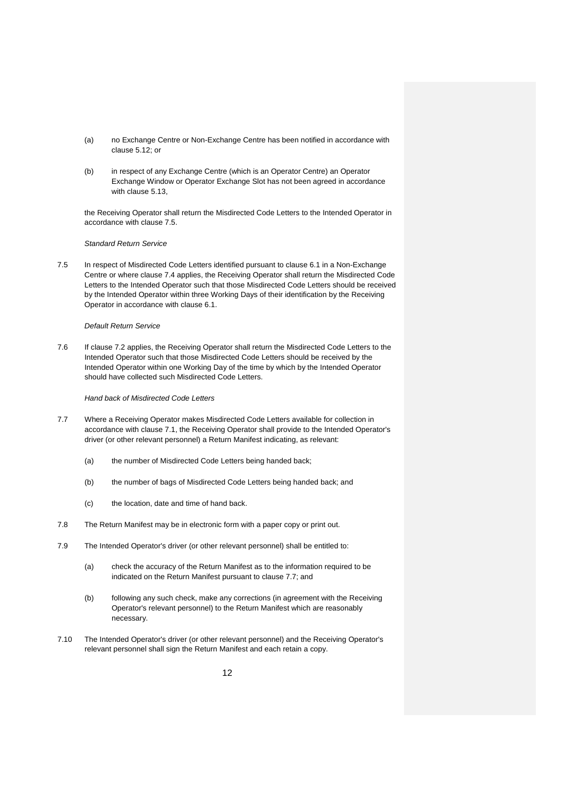- (a) no Exchange Centre or Non-Exchange Centre has been notified in accordance with clause 5.12; or
- (b) in respect of any Exchange Centre (which is an Operator Centre) an Operator Exchange Window or Operator Exchange Slot has not been agreed in accordance with clause 5.13,

the Receiving Operator shall return the Misdirected Code Letters to the Intended Operator in accordance with clause 7.5.

#### *Standard Return Service*

7.5 In respect of Misdirected Code Letters identified pursuant to clause 6.1 in a Non-Exchange Centre or where clause 7.4 applies, the Receiving Operator shall return the Misdirected Code Letters to the Intended Operator such that those Misdirected Code Letters should be received by the Intended Operator within three Working Days of their identification by the Receiving Operator in accordance with clause 6.1.

#### *Default Return Service*

7.6 If clause 7.2 applies, the Receiving Operator shall return the Misdirected Code Letters to the Intended Operator such that those Misdirected Code Letters should be received by the Intended Operator within one Working Day of the time by which by the Intended Operator should have collected such Misdirected Code Letters.

*Hand back of Misdirected Code Letters* 

- 7.7 Where a Receiving Operator makes Misdirected Code Letters available for collection in accordance with clause 7.1, the Receiving Operator shall provide to the Intended Operator's driver (or other relevant personnel) a Return Manifest indicating, as relevant:
	- (a) the number of Misdirected Code Letters being handed back;
	- (b) the number of bags of Misdirected Code Letters being handed back; and
	- (c) the location, date and time of hand back.
- 7.8 The Return Manifest may be in electronic form with a paper copy or print out.
- 7.9 The Intended Operator's driver (or other relevant personnel) shall be entitled to:
	- (a) check the accuracy of the Return Manifest as to the information required to be indicated on the Return Manifest pursuant to clause 7.7; and
	- (b) following any such check, make any corrections (in agreement with the Receiving Operator's relevant personnel) to the Return Manifest which are reasonably necessary.
- 7.10 The Intended Operator's driver (or other relevant personnel) and the Receiving Operator's relevant personnel shall sign the Return Manifest and each retain a copy.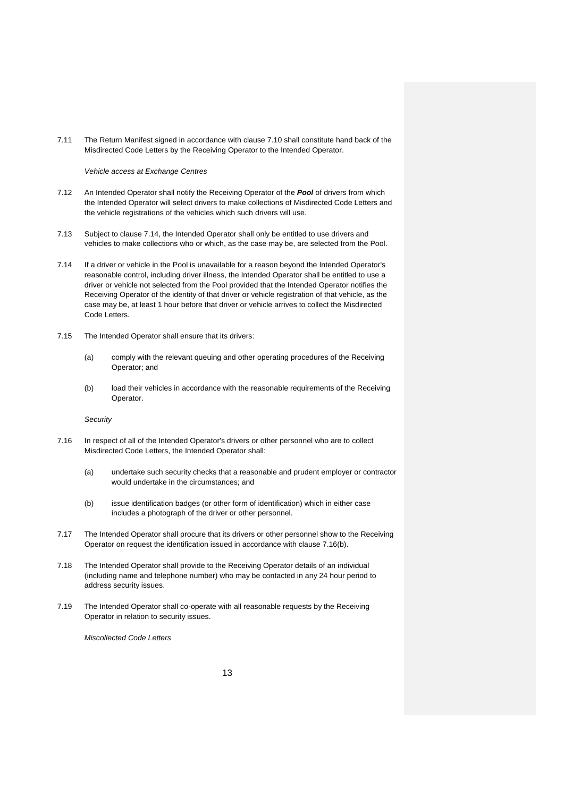7.11 The Return Manifest signed in accordance with clause 7.10 shall constitute hand back of the Misdirected Code Letters by the Receiving Operator to the Intended Operator.

*Vehicle access at Exchange Centres* 

- 7.12 An Intended Operator shall notify the Receiving Operator of the *Pool* of drivers from which the Intended Operator will select drivers to make collections of Misdirected Code Letters and the vehicle registrations of the vehicles which such drivers will use.
- 7.13 Subject to clause 7.14, the Intended Operator shall only be entitled to use drivers and vehicles to make collections who or which, as the case may be, are selected from the Pool.
- 7.14 If a driver or vehicle in the Pool is unavailable for a reason beyond the Intended Operator's reasonable control, including driver illness, the Intended Operator shall be entitled to use a driver or vehicle not selected from the Pool provided that the Intended Operator notifies the Receiving Operator of the identity of that driver or vehicle registration of that vehicle, as the case may be, at least 1 hour before that driver or vehicle arrives to collect the Misdirected Code Letters.
- 7.15 The Intended Operator shall ensure that its drivers:
	- (a) comply with the relevant queuing and other operating procedures of the Receiving Operator; and
	- (b) load their vehicles in accordance with the reasonable requirements of the Receiving Operator.

*Security* 

- 7.16 In respect of all of the Intended Operator's drivers or other personnel who are to collect Misdirected Code Letters, the Intended Operator shall:
	- (a) undertake such security checks that a reasonable and prudent employer or contractor would undertake in the circumstances; and
	- (b) issue identification badges (or other form of identification) which in either case includes a photograph of the driver or other personnel.
- 7.17 The Intended Operator shall procure that its drivers or other personnel show to the Receiving Operator on request the identification issued in accordance with clause 7.16(b).
- 7.18 The Intended Operator shall provide to the Receiving Operator details of an individual (including name and telephone number) who may be contacted in any 24 hour period to address security issues.
- 7.19 The Intended Operator shall co-operate with all reasonable requests by the Receiving Operator in relation to security issues.

*Miscollected Code Letters*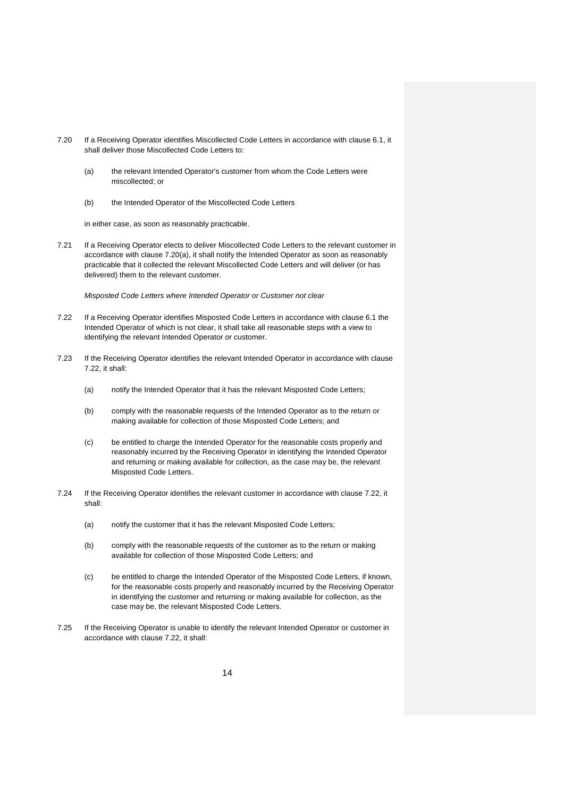- 7.20 If a Receiving Operator identifies Miscollected Code Letters in accordance with clause 6.1, it shall deliver those Miscollected Code Letters to:
	- (a) the relevant Intended Operator's customer from whom the Code Letters were miscollected; or
	- (b) the Intended Operator of the Miscollected Code Letters

in either case, as soon as reasonably practicable.

7.21 If a Receiving Operator elects to deliver Miscollected Code Letters to the relevant customer in accordance with clause 7.20(a), it shall notify the Intended Operator as soon as reasonably practicable that it collected the relevant Miscollected Code Letters and will deliver (or has delivered) them to the relevant customer.

*Misposted Code Letters where Intended Operator or Customer not clear* 

- 7.22 If a Receiving Operator identifies Misposted Code Letters in accordance with clause 6.1 the Intended Operator of which is not clear, it shall take all reasonable steps with a view to identifying the relevant Intended Operator or customer.
- 7.23 If the Receiving Operator identifies the relevant Intended Operator in accordance with clause 7.22, it shall:
	- (a) notify the Intended Operator that it has the relevant Misposted Code Letters;
	- (b) comply with the reasonable requests of the Intended Operator as to the return or making available for collection of those Misposted Code Letters; and
	- (c) be entitled to charge the Intended Operator for the reasonable costs properly and reasonably incurred by the Receiving Operator in identifying the Intended Operator and returning or making available for collection, as the case may be, the relevant Misposted Code Letters.
- 7.24 If the Receiving Operator identifies the relevant customer in accordance with clause 7.22, it shall:
	- (a) notify the customer that it has the relevant Misposted Code Letters;
	- (b) comply with the reasonable requests of the customer as to the return or making available for collection of those Misposted Code Letters; and
	- (c) be entitled to charge the Intended Operator of the Misposted Code Letters, if known, for the reasonable costs properly and reasonably incurred by the Receiving Operator in identifying the customer and returning or making available for collection, as the case may be, the relevant Misposted Code Letters.
- 7.25 If the Receiving Operator is unable to identify the relevant Intended Operator or customer in accordance with clause 7.22, it shall: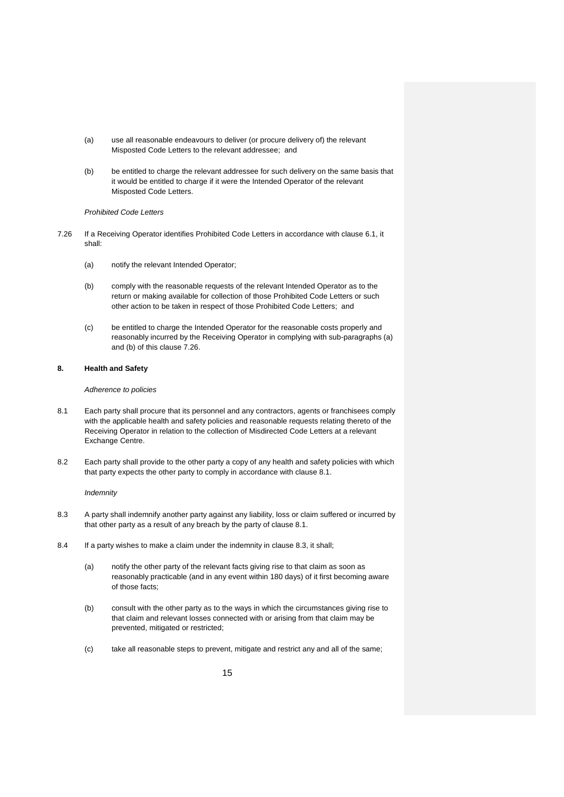- (a) use all reasonable endeavours to deliver (or procure delivery of) the relevant Misposted Code Letters to the relevant addressee; and
- (b) be entitled to charge the relevant addressee for such delivery on the same basis that it would be entitled to charge if it were the Intended Operator of the relevant Misposted Code Letters.

#### *Prohibited Code Letters*

- 7.26 If a Receiving Operator identifies Prohibited Code Letters in accordance with clause 6.1, it shall:
	- (a) notify the relevant Intended Operator;
	- (b) comply with the reasonable requests of the relevant Intended Operator as to the return or making available for collection of those Prohibited Code Letters or such other action to be taken in respect of those Prohibited Code Letters; and
	- (c) be entitled to charge the Intended Operator for the reasonable costs properly and reasonably incurred by the Receiving Operator in complying with sub-paragraphs (a) and (b) of this clause 7.26.

# **8. Health and Safety**

#### *Adherence to policies*

- 8.1 Each party shall procure that its personnel and any contractors, agents or franchisees comply with the applicable health and safety policies and reasonable requests relating thereto of the Receiving Operator in relation to the collection of Misdirected Code Letters at a relevant Exchange Centre.
- 8.2 Each party shall provide to the other party a copy of any health and safety policies with which that party expects the other party to comply in accordance with clause 8.1.

#### *Indemnity*

- 8.3 A party shall indemnify another party against any liability, loss or claim suffered or incurred by that other party as a result of any breach by the party of clause 8.1.
- 8.4 If a party wishes to make a claim under the indemnity in clause 8.3, it shall;
	- (a) notify the other party of the relevant facts giving rise to that claim as soon as reasonably practicable (and in any event within 180 days) of it first becoming aware of those facts;
	- (b) consult with the other party as to the ways in which the circumstances giving rise to that claim and relevant losses connected with or arising from that claim may be prevented, mitigated or restricted;
	- (c) take all reasonable steps to prevent, mitigate and restrict any and all of the same;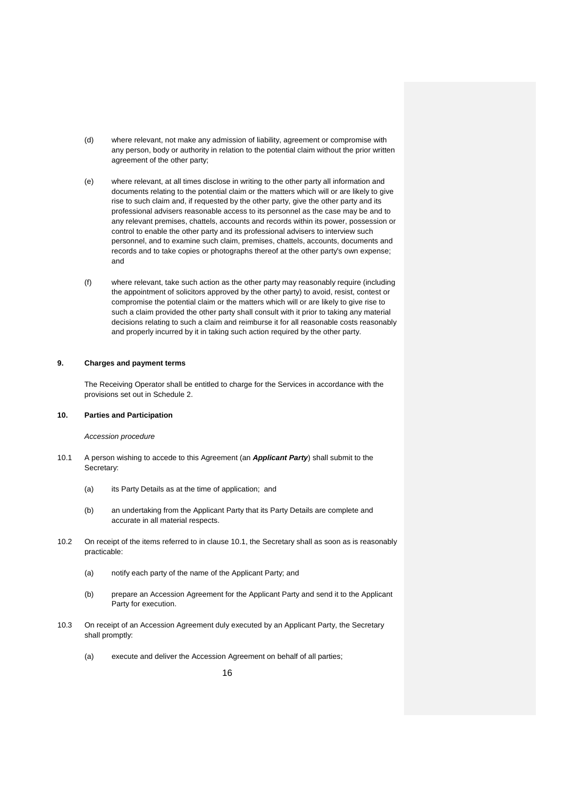- (d) where relevant, not make any admission of liability, agreement or compromise with any person, body or authority in relation to the potential claim without the prior written agreement of the other party;
- (e) where relevant, at all times disclose in writing to the other party all information and documents relating to the potential claim or the matters which will or are likely to give rise to such claim and, if requested by the other party, give the other party and its professional advisers reasonable access to its personnel as the case may be and to any relevant premises, chattels, accounts and records within its power, possession or control to enable the other party and its professional advisers to interview such personnel, and to examine such claim, premises, chattels, accounts, documents and records and to take copies or photographs thereof at the other party's own expense; and
- (f) where relevant, take such action as the other party may reasonably require (including the appointment of solicitors approved by the other party) to avoid, resist, contest or compromise the potential claim or the matters which will or are likely to give rise to such a claim provided the other party shall consult with it prior to taking any material decisions relating to such a claim and reimburse it for all reasonable costs reasonably and properly incurred by it in taking such action required by the other party.

#### **9. Charges and payment terms**

The Receiving Operator shall be entitled to charge for the Services in accordance with the provisions set out in Schedule 2.

### **10. Parties and Participation**

#### *Accession procedure*

- 10.1 A person wishing to accede to this Agreement (an *Applicant Party*) shall submit to the Secretary:
	- (a) its Party Details as at the time of application; and
	- (b) an undertaking from the Applicant Party that its Party Details are complete and accurate in all material respects.
- 10.2 On receipt of the items referred to in clause 10.1, the Secretary shall as soon as is reasonably practicable:
	- (a) notify each party of the name of the Applicant Party; and
	- (b) prepare an Accession Agreement for the Applicant Party and send it to the Applicant Party for execution.
- 10.3 On receipt of an Accession Agreement duly executed by an Applicant Party, the Secretary shall promptly:
	- (a) execute and deliver the Accession Agreement on behalf of all parties;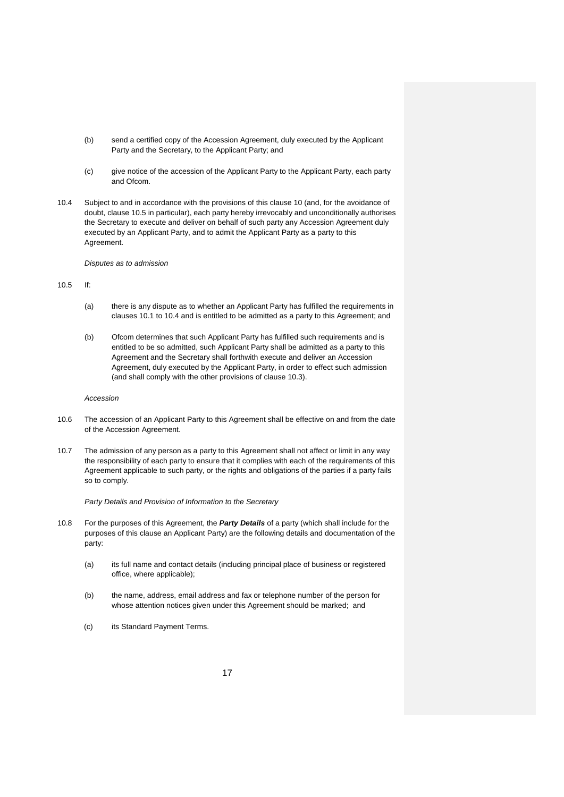- (b) send a certified copy of the Accession Agreement, duly executed by the Applicant Party and the Secretary, to the Applicant Party; and
- (c) give notice of the accession of the Applicant Party to the Applicant Party, each party and Ofcom.
- 10.4 Subject to and in accordance with the provisions of this clause 10 (and, for the avoidance of doubt, clause 10.5 in particular), each party hereby irrevocably and unconditionally authorises the Secretary to execute and deliver on behalf of such party any Accession Agreement duly executed by an Applicant Party, and to admit the Applicant Party as a party to this Agreement.

*Disputes as to admission* 

# 10.5 If:

- (a) there is any dispute as to whether an Applicant Party has fulfilled the requirements in clauses 10.1 to 10.4 and is entitled to be admitted as a party to this Agreement; and
- (b) Ofcom determines that such Applicant Party has fulfilled such requirements and is entitled to be so admitted, such Applicant Party shall be admitted as a party to this Agreement and the Secretary shall forthwith execute and deliver an Accession Agreement, duly executed by the Applicant Party, in order to effect such admission (and shall comply with the other provisions of clause 10.3).

#### *Accession*

- 10.6 The accession of an Applicant Party to this Agreement shall be effective on and from the date of the Accession Agreement.
- 10.7 The admission of any person as a party to this Agreement shall not affect or limit in any way the responsibility of each party to ensure that it complies with each of the requirements of this Agreement applicable to such party, or the rights and obligations of the parties if a party fails so to comply.

*Party Details and Provision of Information to the Secretary* 

- 10.8 For the purposes of this Agreement, the *Party Details* of a party (which shall include for the purposes of this clause an Applicant Party) are the following details and documentation of the party:
	- (a) its full name and contact details (including principal place of business or registered office, where applicable);
	- (b) the name, address, email address and fax or telephone number of the person for whose attention notices given under this Agreement should be marked; and
	- (c) its Standard Payment Terms.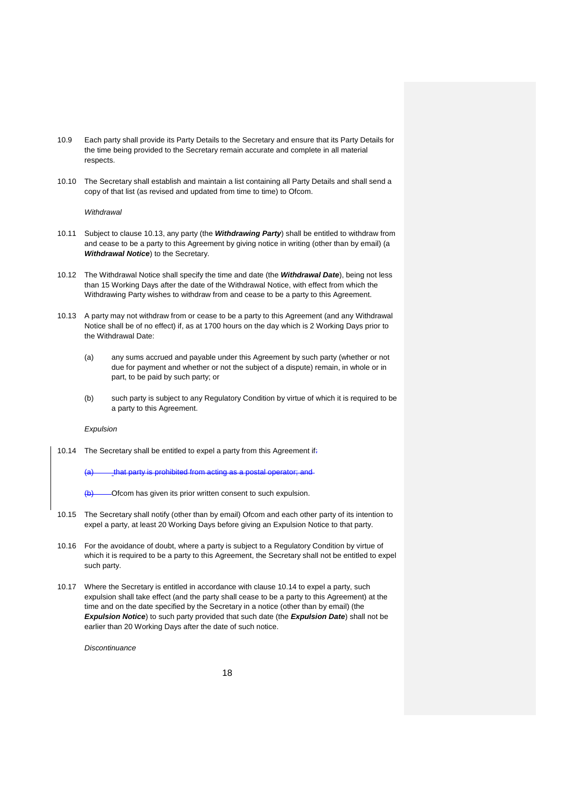- 10.9 Each party shall provide its Party Details to the Secretary and ensure that its Party Details for the time being provided to the Secretary remain accurate and complete in all material respects.
- 10.10 The Secretary shall establish and maintain a list containing all Party Details and shall send a copy of that list (as revised and updated from time to time) to Ofcom.

#### *Withdrawal*

- 10.11 Subject to clause 10.13, any party (the *Withdrawing Party*) shall be entitled to withdraw from and cease to be a party to this Agreement by giving notice in writing (other than by email) (a *Withdrawal Notice*) to the Secretary.
- 10.12 The Withdrawal Notice shall specify the time and date (the *Withdrawal Date*), being not less than 15 Working Days after the date of the Withdrawal Notice, with effect from which the Withdrawing Party wishes to withdraw from and cease to be a party to this Agreement.
- 10.13 A party may not withdraw from or cease to be a party to this Agreement (and any Withdrawal Notice shall be of no effect) if, as at 1700 hours on the day which is 2 Working Days prior to the Withdrawal Date:
	- (a) any sums accrued and payable under this Agreement by such party (whether or not due for payment and whether or not the subject of a dispute) remain, in whole or in part, to be paid by such party; or
	- (b) such party is subject to any Regulatory Condition by virtue of which it is required to be a party to this Agreement.

#### *Expulsion*

10.14 The Secretary shall be entitled to expel a party from this Agreement if:

that party is prohibited from acting as a postal operator; and

- -Ofcom has given its prior written consent to such expulsion.
- 10.15 The Secretary shall notify (other than by email) Ofcom and each other party of its intention to expel a party, at least 20 Working Days before giving an Expulsion Notice to that party.
- 10.16 For the avoidance of doubt, where a party is subject to a Regulatory Condition by virtue of which it is required to be a party to this Agreement, the Secretary shall not be entitled to expel such party.
- 10.17 Where the Secretary is entitled in accordance with clause 10.14 to expel a party, such expulsion shall take effect (and the party shall cease to be a party to this Agreement) at the time and on the date specified by the Secretary in a notice (other than by email) (the *Expulsion Notice*) to such party provided that such date (the *Expulsion Date*) shall not be earlier than 20 Working Days after the date of such notice.

*Discontinuance*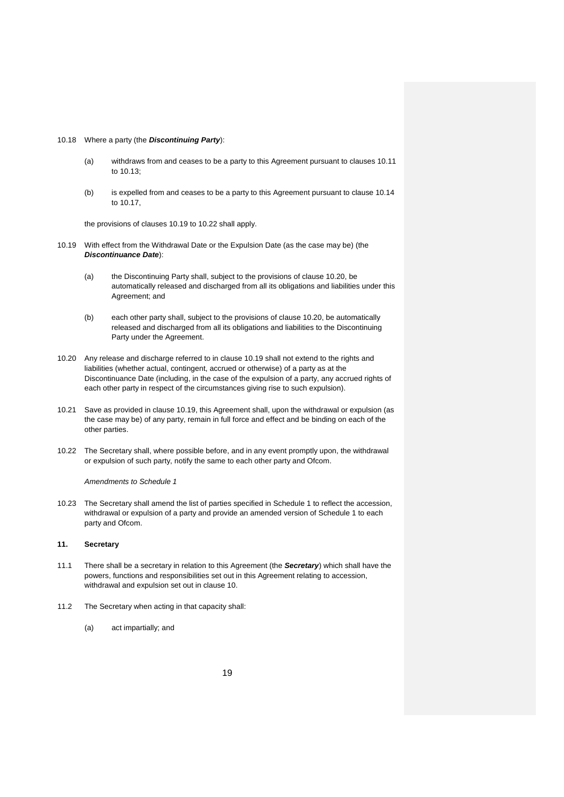#### 10.18 Where a party (the *Discontinuing Party*):

- (a) withdraws from and ceases to be a party to this Agreement pursuant to clauses 10.11 to 10.13;
- (b) is expelled from and ceases to be a party to this Agreement pursuant to clause 10.14 to 10.17,

the provisions of clauses 10.19 to 10.22 shall apply.

- 10.19 With effect from the Withdrawal Date or the Expulsion Date (as the case may be) (the *Discontinuance Date*):
	- (a) the Discontinuing Party shall, subject to the provisions of clause 10.20, be automatically released and discharged from all its obligations and liabilities under this Agreement; and
	- (b) each other party shall, subject to the provisions of clause 10.20, be automatically released and discharged from all its obligations and liabilities to the Discontinuing Party under the Agreement.
- 10.20 Any release and discharge referred to in clause 10.19 shall not extend to the rights and liabilities (whether actual, contingent, accrued or otherwise) of a party as at the Discontinuance Date (including, in the case of the expulsion of a party, any accrued rights of each other party in respect of the circumstances giving rise to such expulsion).
- 10.21 Save as provided in clause 10.19, this Agreement shall, upon the withdrawal or expulsion (as the case may be) of any party, remain in full force and effect and be binding on each of the other parties.
- 10.22 The Secretary shall, where possible before, and in any event promptly upon, the withdrawal or expulsion of such party, notify the same to each other party and Ofcom.

*Amendments to Schedule 1* 

10.23 The Secretary shall amend the list of parties specified in Schedule 1 to reflect the accession, withdrawal or expulsion of a party and provide an amended version of Schedule 1 to each party and Ofcom.

#### **11. Secretary**

- 11.1 There shall be a secretary in relation to this Agreement (the *Secretary*) which shall have the powers, functions and responsibilities set out in this Agreement relating to accession, withdrawal and expulsion set out in clause 10.
- 11.2 The Secretary when acting in that capacity shall:
	- (a) act impartially; and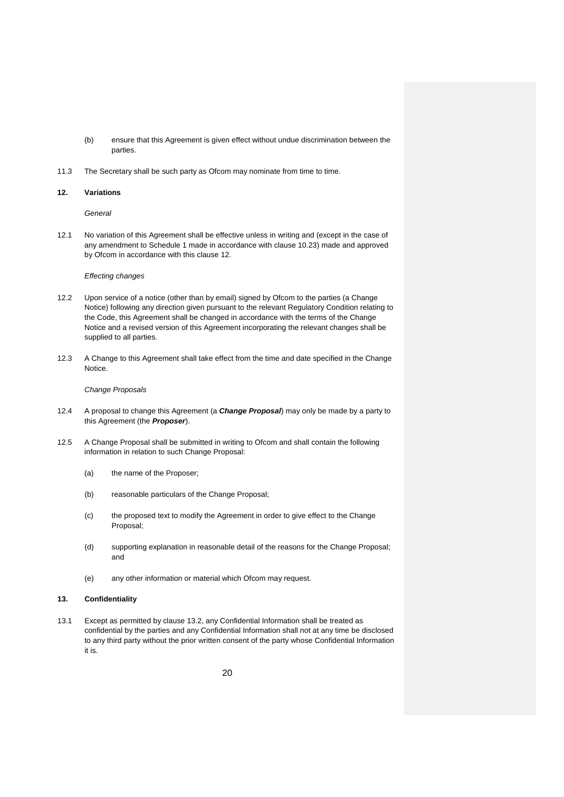- (b) ensure that this Agreement is given effect without undue discrimination between the parties.
- 11.3 The Secretary shall be such party as Ofcom may nominate from time to time.

#### **12. Variations**

*General* 

12.1 No variation of this Agreement shall be effective unless in writing and (except in the case of any amendment to Schedule 1 made in accordance with clause 10.23) made and approved by Ofcom in accordance with this clause 12.

#### *Effecting changes*

- 12.2 Upon service of a notice (other than by email) signed by Ofcom to the parties (a Change Notice) following any direction given pursuant to the relevant Regulatory Condition relating to the Code, this Agreement shall be changed in accordance with the terms of the Change Notice and a revised version of this Agreement incorporating the relevant changes shall be supplied to all parties.
- 12.3 A Change to this Agreement shall take effect from the time and date specified in the Change Notice.

#### *Change Proposals*

- 12.4 A proposal to change this Agreement (a *Change Proposal*) may only be made by a party to this Agreement (the *Proposer*).
- 12.5 A Change Proposal shall be submitted in writing to Ofcom and shall contain the following information in relation to such Change Proposal:
	- (a) the name of the Proposer;
	- (b) reasonable particulars of the Change Proposal;
	- (c) the proposed text to modify the Agreement in order to give effect to the Change Proposal;
	- (d) supporting explanation in reasonable detail of the reasons for the Change Proposal; and
	- (e) any other information or material which Ofcom may request.

#### **13. Confidentiality**

13.1 Except as permitted by clause 13.2, any Confidential Information shall be treated as confidential by the parties and any Confidential Information shall not at any time be disclosed to any third party without the prior written consent of the party whose Confidential Information it is.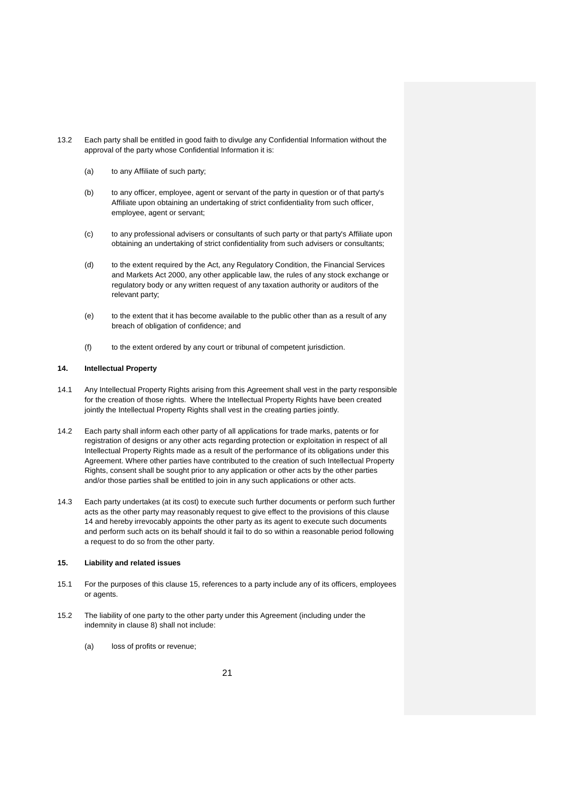- 13.2 Each party shall be entitled in good faith to divulge any Confidential Information without the approval of the party whose Confidential Information it is:
	- (a) to any Affiliate of such party;
	- (b) to any officer, employee, agent or servant of the party in question or of that party's Affiliate upon obtaining an undertaking of strict confidentiality from such officer, employee, agent or servant;
	- (c) to any professional advisers or consultants of such party or that party's Affiliate upon obtaining an undertaking of strict confidentiality from such advisers or consultants;
	- (d) to the extent required by the Act, any Regulatory Condition, the Financial Services and Markets Act 2000, any other applicable law, the rules of any stock exchange or regulatory body or any written request of any taxation authority or auditors of the relevant party;
	- (e) to the extent that it has become available to the public other than as a result of any breach of obligation of confidence; and
	- (f) to the extent ordered by any court or tribunal of competent jurisdiction.

# **14. Intellectual Property**

- 14.1 Any Intellectual Property Rights arising from this Agreement shall vest in the party responsible for the creation of those rights. Where the Intellectual Property Rights have been created jointly the Intellectual Property Rights shall vest in the creating parties jointly.
- 14.2 Each party shall inform each other party of all applications for trade marks, patents or for registration of designs or any other acts regarding protection or exploitation in respect of all Intellectual Property Rights made as a result of the performance of its obligations under this Agreement. Where other parties have contributed to the creation of such Intellectual Property Rights, consent shall be sought prior to any application or other acts by the other parties and/or those parties shall be entitled to join in any such applications or other acts.
- 14.3 Each party undertakes (at its cost) to execute such further documents or perform such further acts as the other party may reasonably request to give effect to the provisions of this clause 14 and hereby irrevocably appoints the other party as its agent to execute such documents and perform such acts on its behalf should it fail to do so within a reasonable period following a request to do so from the other party.

## **15. Liability and related issues**

- 15.1 For the purposes of this clause 15, references to a party include any of its officers, employees or agents.
- 15.2 The liability of one party to the other party under this Agreement (including under the indemnity in clause 8) shall not include:
	- (a) loss of profits or revenue;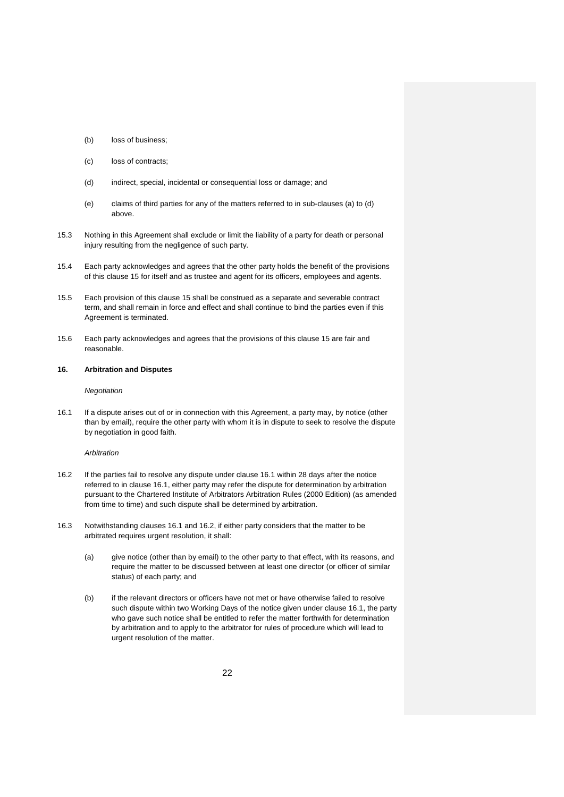- (b) loss of business;
- (c) loss of contracts;
- (d) indirect, special, incidental or consequential loss or damage; and
- (e) claims of third parties for any of the matters referred to in sub-clauses (a) to (d) above.
- 15.3 Nothing in this Agreement shall exclude or limit the liability of a party for death or personal injury resulting from the negligence of such party.
- 15.4 Each party acknowledges and agrees that the other party holds the benefit of the provisions of this clause 15 for itself and as trustee and agent for its officers, employees and agents.
- 15.5 Each provision of this clause 15 shall be construed as a separate and severable contract term, and shall remain in force and effect and shall continue to bind the parties even if this Agreement is terminated.
- 15.6 Each party acknowledges and agrees that the provisions of this clause 15 are fair and reasonable.

#### **16. Arbitration and Disputes**

#### *Negotiation*

16.1 If a dispute arises out of or in connection with this Agreement, a party may, by notice (other than by email), require the other party with whom it is in dispute to seek to resolve the dispute by negotiation in good faith.

### *Arbitration*

- 16.2 If the parties fail to resolve any dispute under clause 16.1 within 28 days after the notice referred to in clause 16.1, either party may refer the dispute for determination by arbitration pursuant to the Chartered Institute of Arbitrators Arbitration Rules (2000 Edition) (as amended from time to time) and such dispute shall be determined by arbitration.
- 16.3 Notwithstanding clauses 16.1 and 16.2, if either party considers that the matter to be arbitrated requires urgent resolution, it shall:
	- (a) give notice (other than by email) to the other party to that effect, with its reasons, and require the matter to be discussed between at least one director (or officer of similar status) of each party; and
	- (b) if the relevant directors or officers have not met or have otherwise failed to resolve such dispute within two Working Days of the notice given under clause 16.1, the party who gave such notice shall be entitled to refer the matter forthwith for determination by arbitration and to apply to the arbitrator for rules of procedure which will lead to urgent resolution of the matter.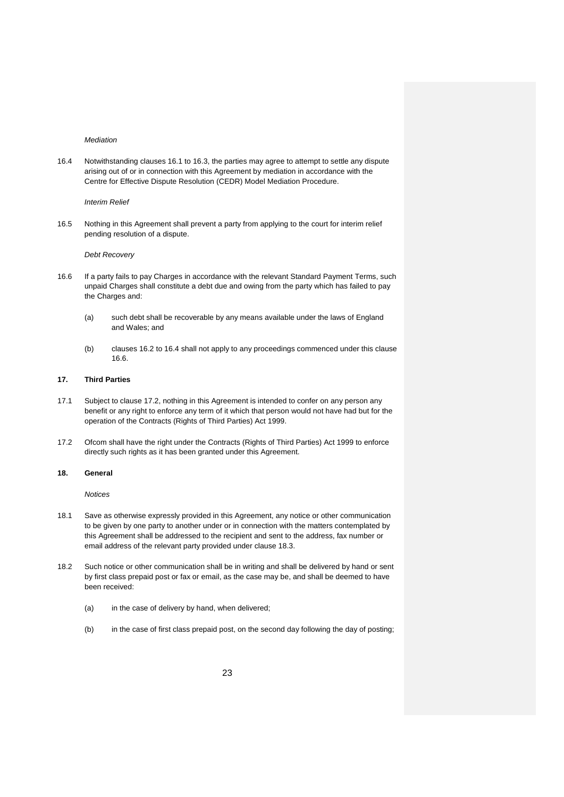#### *Mediation*

16.4 Notwithstanding clauses 16.1 to 16.3, the parties may agree to attempt to settle any dispute arising out of or in connection with this Agreement by mediation in accordance with the Centre for Effective Dispute Resolution (CEDR) Model Mediation Procedure.

#### *Interim Relief*

16.5 Nothing in this Agreement shall prevent a party from applying to the court for interim relief pending resolution of a dispute.

#### *Debt Recovery*

- 16.6 If a party fails to pay Charges in accordance with the relevant Standard Payment Terms, such unpaid Charges shall constitute a debt due and owing from the party which has failed to pay the Charges and:
	- (a) such debt shall be recoverable by any means available under the laws of England and Wales; and
	- (b) clauses 16.2 to 16.4 shall not apply to any proceedings commenced under this clause 16.6.

#### **17. Third Parties**

- 17.1 Subject to clause 17.2, nothing in this Agreement is intended to confer on any person any benefit or any right to enforce any term of it which that person would not have had but for the operation of the Contracts (Rights of Third Parties) Act 1999.
- 17.2 Ofcom shall have the right under the Contracts (Rights of Third Parties) Act 1999 to enforce directly such rights as it has been granted under this Agreement.

#### **18. General**

*Notices* 

- 18.1 Save as otherwise expressly provided in this Agreement, any notice or other communication to be given by one party to another under or in connection with the matters contemplated by this Agreement shall be addressed to the recipient and sent to the address, fax number or email address of the relevant party provided under clause 18.3.
- 18.2 Such notice or other communication shall be in writing and shall be delivered by hand or sent by first class prepaid post or fax or email, as the case may be, and shall be deemed to have been received:
	- (a) in the case of delivery by hand, when delivered;
	- (b) in the case of first class prepaid post, on the second day following the day of posting;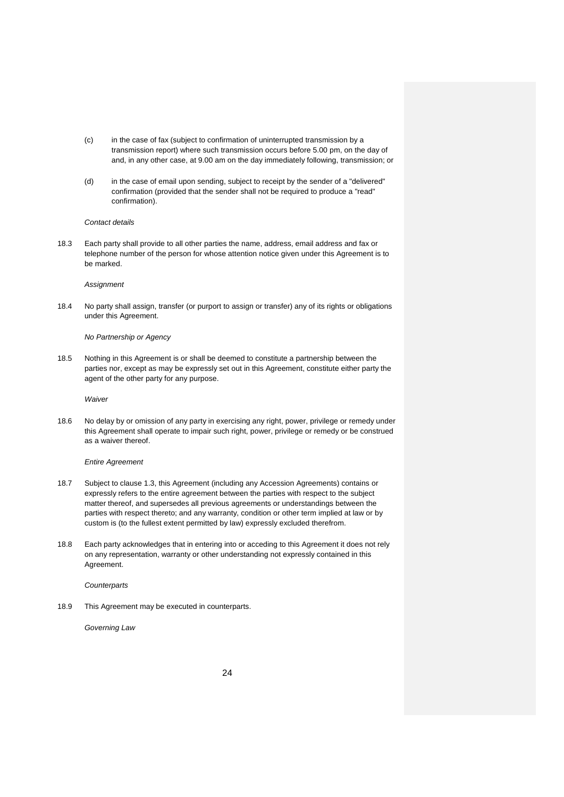- (c) in the case of fax (subject to confirmation of uninterrupted transmission by a transmission report) where such transmission occurs before 5.00 pm, on the day of and, in any other case, at 9.00 am on the day immediately following, transmission; or
- (d) in the case of email upon sending, subject to receipt by the sender of a "delivered" confirmation (provided that the sender shall not be required to produce a "read" confirmation).

#### *Contact details*

18.3 Each party shall provide to all other parties the name, address, email address and fax or telephone number of the person for whose attention notice given under this Agreement is to be marked.

#### *Assignment*

18.4 No party shall assign, transfer (or purport to assign or transfer) any of its rights or obligations under this Agreement.

#### *No Partnership or Agency*

18.5 Nothing in this Agreement is or shall be deemed to constitute a partnership between the parties nor, except as may be expressly set out in this Agreement, constitute either party the agent of the other party for any purpose.

*Waiver* 

18.6 No delay by or omission of any party in exercising any right, power, privilege or remedy under this Agreement shall operate to impair such right, power, privilege or remedy or be construed as a waiver thereof.

#### *Entire Agreement*

- 18.7 Subject to clause 1.3, this Agreement (including any Accession Agreements) contains or expressly refers to the entire agreement between the parties with respect to the subject matter thereof, and supersedes all previous agreements or understandings between the parties with respect thereto; and any warranty, condition or other term implied at law or by custom is (to the fullest extent permitted by law) expressly excluded therefrom.
- 18.8 Each party acknowledges that in entering into or acceding to this Agreement it does not rely on any representation, warranty or other understanding not expressly contained in this Agreement.

*Counterparts* 

18.9 This Agreement may be executed in counterparts.

*Governing Law*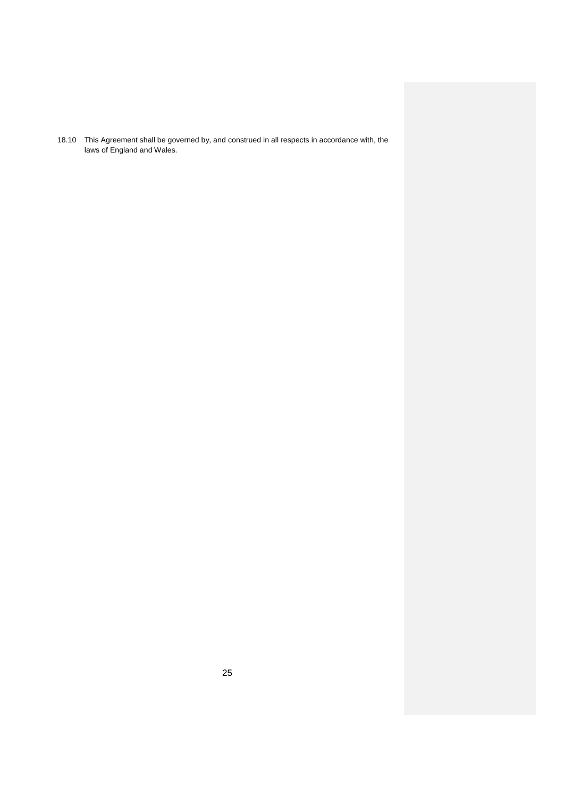18.10 This Agreement shall be governed by, and construed in all respects in accordance with, the laws of England and Wales.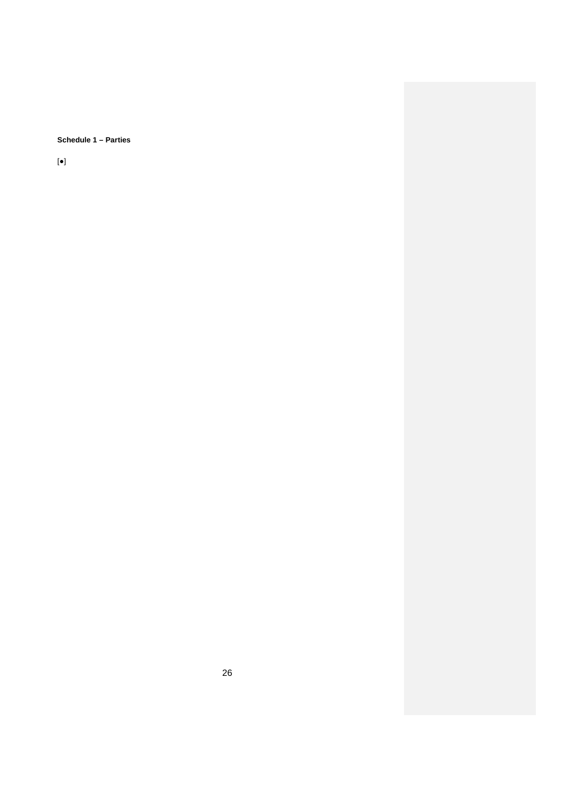**Schedule 1 – Parties** 

[●]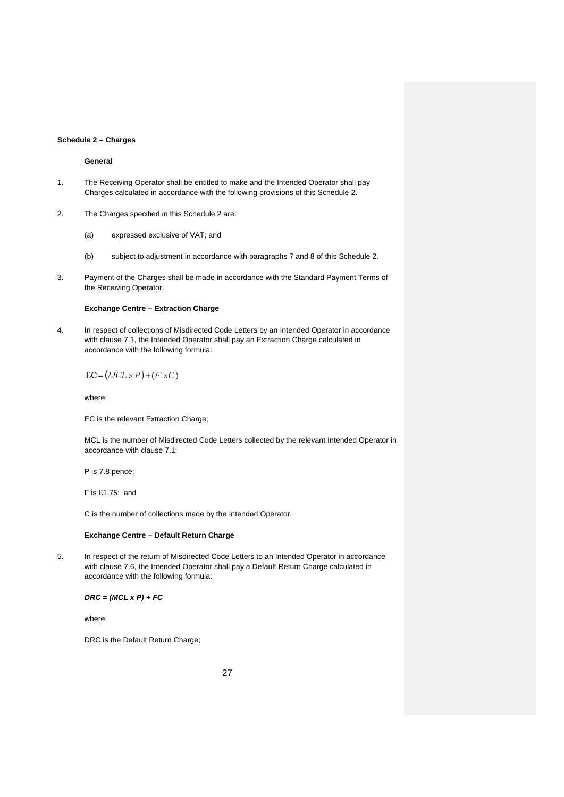#### **Schedule 2 – Charges**

# **General**

- 1. The Receiving Operator shall be entitled to make and the Intended Operator shall pay Charges calculated in accordance with the following provisions of this Schedule 2.
- 2. The Charges specified in this Schedule 2 are:
	- (a) expressed exclusive of VAT; and
	- (b) subject to adjustment in accordance with paragraphs 7 and 8 of this Schedule 2.
- 3. Payment of the Charges shall be made in accordance with the Standard Payment Terms of the Receiving Operator.

#### **Exchange Centre – Extraction Charge**

4. In respect of collections of Misdirected Code Letters by an Intended Operator in accordance with clause 7.1, the Intended Operator shall pay an Extraction Charge calculated in accordance with the following formula:

$$
EC = (MCL \times P) + (F \times C)
$$

where:

EC is the relevant Extraction Charge;

MCL is the number of Misdirected Code Letters collected by the relevant Intended Operator in accordance with clause 7.1;

P is 7.8 pence;

F is £1.75; and

C is the number of collections made by the Intended Operator.

#### **Exchange Centre – Default Return Charge**

5. In respect of the return of Misdirected Code Letters to an Intended Operator in accordance with clause 7.6, the Intended Operator shall pay a Default Return Charge calculated in accordance with the following formula:

*DRC = (MCL x P) + FC* 

where:

DRC is the Default Return Charge;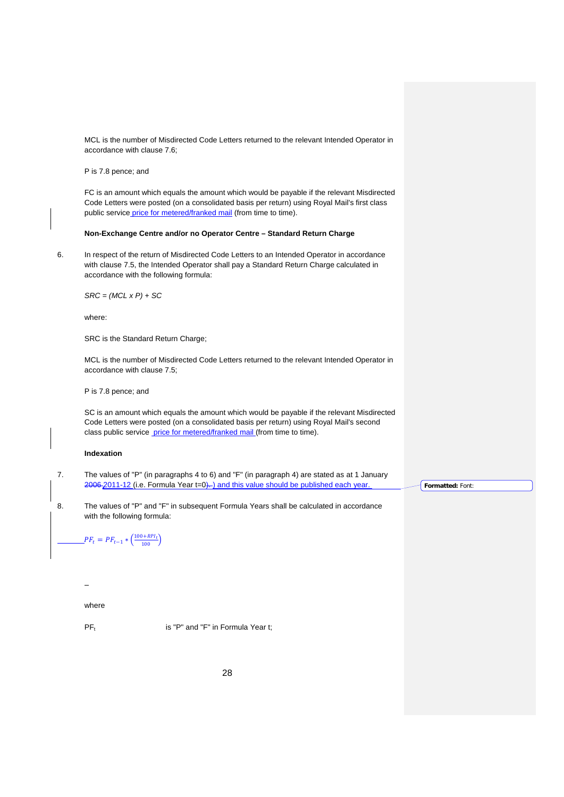MCL is the number of Misdirected Code Letters returned to the relevant Intended Operator in accordance with clause 7.6;

P is 7.8 pence; and

FC is an amount which equals the amount which would be payable if the relevant Misdirected Code Letters were posted (on a consolidated basis per return) using Royal Mail's first class public service price for metered/franked mail (from time to time).

#### **Non-Exchange Centre and/or no Operator Centre – Standard Return Charge**

6. In respect of the return of Misdirected Code Letters to an Intended Operator in accordance with clause 7.5, the Intended Operator shall pay a Standard Return Charge calculated in accordance with the following formula:

*SRC = (MCL x P) + SC* 

where:

SRC is the Standard Return Charge;

MCL is the number of Misdirected Code Letters returned to the relevant Intended Operator in accordance with clause 7.5;

P is 7.8 pence; and

SC is an amount which equals the amount which would be payable if the relevant Misdirected Code Letters were posted (on a consolidated basis per return) using Royal Mail's second class public service price for metered/franked mail (from time to time).

## **Indexation**

7. The values of "P" (in paragraphs 4 to 6) and "F" (in paragraph 4) are stated as at 1 January 2006 2011-12 (i.e. Formula Year t=0). ) and this value should be published each year. **Formatted:** Font:

8. The values of "P" and "F" in subsequent Formula Years shall be calculated in accordance with the following formula:

 $PF_t = PF_{t-1} * \left(\frac{100 + RPI_t}{100}\right)$ 

-

where

 $PF_t$  is "P" and "F" in Formula Year t;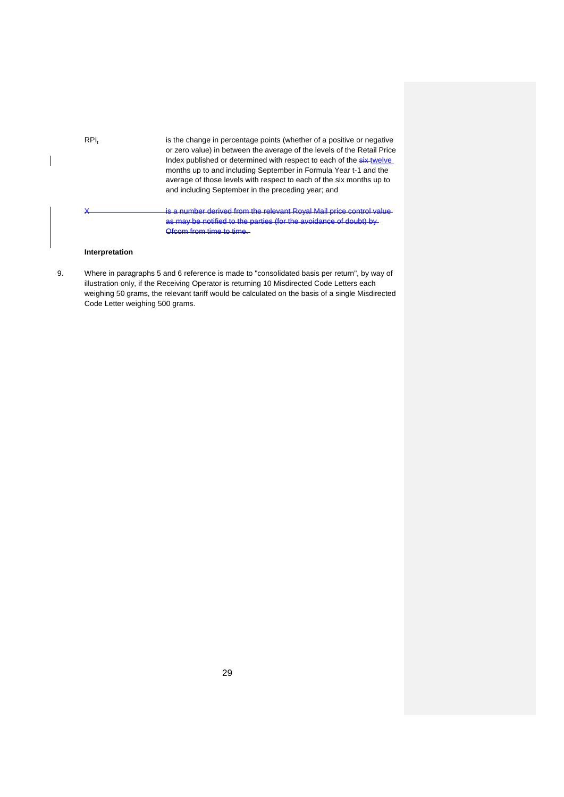| $RPI_t$ | is the change in percentage points (whether of a positive or negative<br>or zero value) in between the average of the levels of the Retail Price<br>Index published or determined with respect to each of the six-twelve<br>months up to and including September in Formula Year t-1 and the<br>average of those levels with respect to each of the six months up to<br>and including September in the preceding year; and |
|---------|----------------------------------------------------------------------------------------------------------------------------------------------------------------------------------------------------------------------------------------------------------------------------------------------------------------------------------------------------------------------------------------------------------------------------|
|         | is a number derived from the relevant Royal Mail price control value<br>as may be notified to the parties (for the avoidance of doubt) by<br><u>Afcam fram time to time</u>                                                                                                                                                                                                                                                |

# **Interpretation**

 $\overline{\phantom{a}}$ 

9. Where in paragraphs 5 and 6 reference is made to "consolidated basis per return", by way of illustration only, if the Receiving Operator is returning 10 Misdirected Code Letters each weighing 50 grams, the relevant tariff would be calculated on the basis of a single Misdirected Code Letter weighing 500 grams.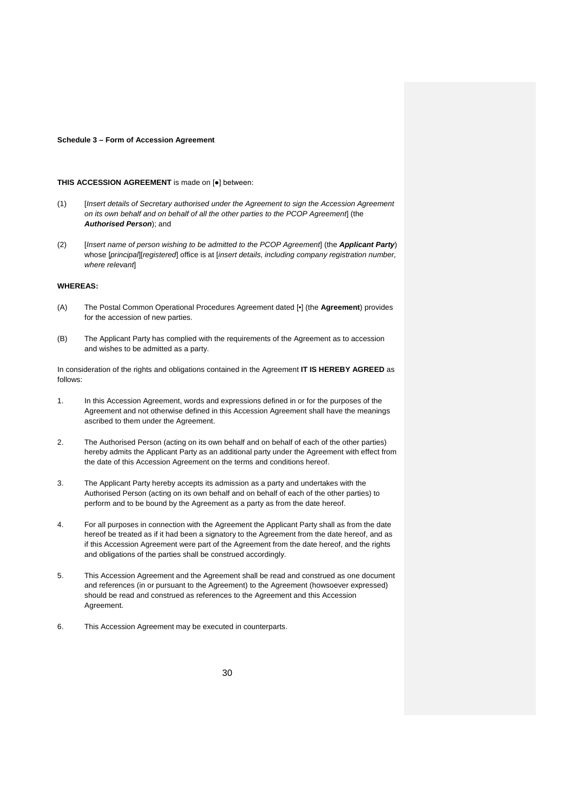#### **Schedule 3 – Form of Accession Agreement**

#### **THIS ACCESSION AGREEMENT** is made on [●] between:

- (1) [*Insert details of Secretary authorised under the Agreement to sign the Accession Agreement on its own behalf and on behalf of all the other parties to the PCOP Agreement*] (the *Authorised Person*); and
- (2) [*Insert name of person wishing to be admitted to the PCOP Agreement*] (the *Applicant Party*) whose [*principal*][*registered*] office is at [*insert details, including company registration number, where relevant*]

# **WHEREAS:**

- (A) The Postal Common Operational Procedures Agreement dated [•] (the **Agreement**) provides for the accession of new parties.
- (B) The Applicant Party has complied with the requirements of the Agreement as to accession and wishes to be admitted as a party.

In consideration of the rights and obligations contained in the Agreement **IT IS HEREBY AGREED** as follows:

- 1. In this Accession Agreement, words and expressions defined in or for the purposes of the Agreement and not otherwise defined in this Accession Agreement shall have the meanings ascribed to them under the Agreement.
- 2. The Authorised Person (acting on its own behalf and on behalf of each of the other parties) hereby admits the Applicant Party as an additional party under the Agreement with effect from the date of this Accession Agreement on the terms and conditions hereof.
- 3. The Applicant Party hereby accepts its admission as a party and undertakes with the Authorised Person (acting on its own behalf and on behalf of each of the other parties) to perform and to be bound by the Agreement as a party as from the date hereof.
- 4. For all purposes in connection with the Agreement the Applicant Party shall as from the date hereof be treated as if it had been a signatory to the Agreement from the date hereof, and as if this Accession Agreement were part of the Agreement from the date hereof, and the rights and obligations of the parties shall be construed accordingly.
- 5. This Accession Agreement and the Agreement shall be read and construed as one document and references (in or pursuant to the Agreement) to the Agreement (howsoever expressed) should be read and construed as references to the Agreement and this Accession Agreement.
- 6. This Accession Agreement may be executed in counterparts.